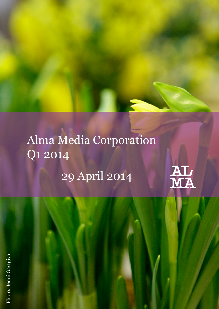# Alma Media Corporation Q1 2014 29 April 2014

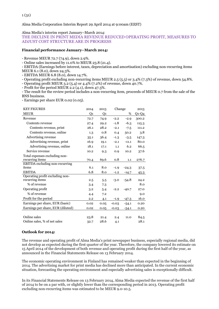Alma Media Corporation Interim Report 29 April 2014 at 9:00am (EEST)

Alma Media's interim report January–March 2014:

THE DECLINE IN PRINT MEDIA REVENUE REDUCED OPERATING PROFIT, MEASURES TO ADJUST COST STRUCTURE ARE IN PROGRESS

### **Financial performance January–March 2014:**

- Revenue MEUR 72.7 (74.9), down 2.9%.

- Online sales increased by 11.0% to MEUR 23.8 (21.4).

- EBITDA (Earnings before interest, taxes, depreciation and amortisation) excluding non-recurring items MEUR 6.1 (8.0), down 24.3%.

- EBITDA MEUR 6.8 (8.0), down 14.7%.

- Operating profit excluding non-recurring items MEUR 2.5 (5.5) or 3.4% (7.3%) of revenue, down 54.8%.

- Operating profit MEUR 3.2 (5.4) or 4.4% (7.2%) of revenue, down 40.7%.

- Profit for the period MEUR 2.2 (4.1), down 47.3%.

- The result for the review period includes a non-recurring item, proceeds of MEUR 0.7 from the sale of the BNS business.

- Earnings per share EUR 0.02 (0.05).

| <b>KEY FIGURES</b>                | 2014 | 2013 |         | Change  |         |
|-----------------------------------|------|------|---------|---------|---------|
| <b>MEUR</b>                       | Q1   | Q1   |         | %       | $Q1-Q4$ |
| Revenue                           | 72.7 | 74.9 | $-2.2$  | $-2.9$  | 300.2   |
| Contents revenue                  | 27.4 | 29.2 | $-1.8$  | $-6.3$  | 115.3   |
| Contents revenue, print           | 26.1 | 28.2 | $-2.1$  | $-7.5$  | 111.2   |
| Contents revenue, online          | 1.3  | 0.8  | 0.4     | 50.2    | 3.8     |
| Advertising revenue               | 35.1 | 36.4 | $-1.3$  | $-3.5$  | 147.3   |
| Advertising revenue, print        | 16.9 | 19.1 | $-2.1$  | $-11.1$ | 80.0    |
| Advertising revenue, online       | 18.1 | 17.1 | 1.1     | 6.2     | 66.5    |
| Service revenue                   | 10.2 | 9.3  | 0.9     | 10.2    | 37.6    |
| Total expenses excluding non-     |      |      |         |         |         |
| recurring items                   | 70.4 | 69.6 | 0.8     | 1.1     | 276.7   |
| EBITDA excluding non-recurring    |      |      |         |         |         |
| items                             | 6.1  | 8.0  | $-1.9$  | $-24.3$ | 37.5    |
| <b>EBITDA</b>                     | 6.8  | 8.0  | $-1.2$  | $-14.7$ | 45.3    |
| Operating profit excluding non-   |      |      |         |         |         |
| recurring items                   | 2.5  | 5.5  | $-3.0$  | $-54.8$ | 24.2    |
| % of revenue                      | 3.4  | 7.3  |         |         | 8.0     |
| Operating profit                  | 3.2  | 5.4  | $-2.2$  | $-40.7$ | 27.0    |
| % of revenue                      | 4.4  | 7.2  |         |         | 9.0     |
| Profit for the period             | 2.2  | 4.1  | $-1.9$  | $-47.3$ | 16.0    |
| Earnings per share, EUR (basic)   | 0.02 | 0.05 | $-0.03$ | $-54.1$ | 0.20    |
| Earnings per share, EUR (diluted) | 0.02 | 0.05 | $-0.03$ | $-54.1$ | 0.20    |
|                                   |      |      |         |         |         |
| Online sales                      | 23.8 | 21.4 | 2.4     | 11.0    | 84.5    |
| Online sales, % of net sales      | 32.7 | 28.6 | 4.1     |         | 28.1    |
|                                   |      |      |         |         |         |

# **Outlook for 2014:**

The revenue and operating profit of Alma Media's print newspaper business, especially regional media, did not develop as expected during the first quarter of the year. Therefore, the company lowered its estimate on 15 April 2014 of the development of both revenue and operating profit during the first half of the year, as announced in the Financial Statements Release on 13 February 2014.

The economic operating environment in Finland has remained weaker than expected in the beginning of 2014. The advertising market for print media has declined more than anticipated. In the current economic situation, forecasting the operating environment and especially advertising sales is exceptionally difficult.

In its Financial Statements Release on 13 February 2014, Alma Media expected the revenue of the first half of 2014 to be on a par with, or slightly lower than the corresponding period in 2013. Operating profit excluding non-recurring items was estimated to be MEUR 9.0-10.5.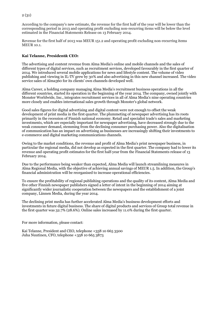According to the company's new estimate, the revenue for the first half of the year will be lower than the corresponding period in 2013 and operating profit excluding non-recurring items will be below the level estimated in the Financial Statements Release on 13 February 2014.

Revenue for the first half of 2013 was MEUR 151.2 and operating profit excluding non-recurring items MEUR 10.1.

#### **Kai Telanne, President& CEO:**

The advertising and content revenue from Alma Media's online and mobile channels and the sales of different types of digital services, such as recruitment services, developed favourably in the first quarter of 2014. We introduced several mobile applications for news and lifestyle content. The volume of video publishing and viewing in IL-TV grew by 30% and also advertising in this new channel increased. The video service sales of Alma360 for its clients' own channels developed well.

Alma Career, a holding company managing Alma Media's recruitment business operations in all the different countries, started its operation in the beginning of the year 2014. The company, owned jointly with Monster Worldwide, Inc., integrates recruitment services in all of Alma Media's nine operating countries more closely and enables international sales growth through Monster's global network.

Good sales figures for digital advertising and digital content were not enough to offset the weak development of print media in the first quarter. The plummeting of newspaper advertising has its roots primarily in the recession of Finnish national economy. Retail and specialist trade's sales and marketing investments, which are especially important for newspaper advertising, have decreased strongly due to the weak consumer demand, stemming from the declining consumer purchasing power. Also the digitalisation of communication has an impact on advertising as businesses are increasingly shifting their investments to e-commerce and digital marketing communications channels.

Owing to the market conditions, the revenue and profit of Alma Media's print newspaper business, in particular the regional media, did not develop as expected in the first quarter. The company had to lower its revenue and operating profit estimates for the first half-year from the Financial Statements release of 13 February 2014.

Due to the performance being weaker than expected, Alma Media will launch streamlining measures in Alma Regional Media, with the objective of achieving annual savings of MEUR 1.5. In addition, the Group's financial administration will be reorganised to increase operational efficiencies.

To ensure the profitability of regional publishing operations and the quality of its content, Alma Media and five other Finnish newspaper publishers signed a letter of intent in the beginning of 2014 aiming at significantly wider journalistic cooperation between the newspapers and the establishment of a joint company, Lännen Media, during the year 2014.

The declining print media has further accelerated Alma Media's business development efforts and investments in future digital business. The share of digital products and services of Group total revenue in the first quarter was 32.7% (28.6%). Online sales increased by 11.0% during the first quarter.

For more information, please contact:

Kai Telanne, President and CEO, telephone +358 10 665 3500 Juha Nuutinen, CFO, telephone +358 10 665 3873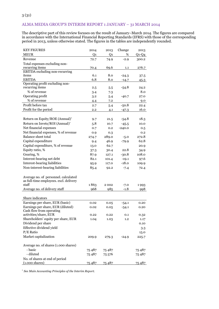# ALMA MEDIA GROUP'S INTERIM REPORT 1 JANUARY – 31 MARCH 2014

The descriptive part of this review focuses on the result of January–March 2014. The figures are compared in accordance with the International Financial Reporting Standards (IFRS) with those of the corresponding period in 2013, unless otherwise stated. The figures in the tables are independently rounded.

| <b>KEY FIGURES</b>                     | 2014   | 2013   | Change   | 2013    |
|----------------------------------------|--------|--------|----------|---------|
| <b>MEUR</b>                            | Q1     | Q1     | %        | $Q1-Q4$ |
| Revenue                                | 72.7   | 74.9   | $-2.9$   | 300.2   |
| Total expenses excluding non-          |        |        |          |         |
| recurring items                        | 70.4   | 69.6   | 1.1      | 276.7   |
| <b>EBITDA</b> excluding non-recurring  |        |        |          |         |
| items                                  | 6.1    | 8.0    | $-24.3$  | 37.5    |
| <b>EBITDA</b>                          | 6.8    | 8.0    | $-14.7$  | 45.3    |
| Operating profit excluding non-        |        |        |          |         |
| recurring items                        | 2.5    | 5.5    | $-54.8$  | 24.2    |
| % of revenue                           | 3.4    | 7.3    |          | 8.0     |
| Operating profit                       | 3.2    | 5.4    | $-40.7$  | 27.0    |
| % of revenue                           | 4.4    | 7.2    |          | 9.0     |
| Profit before tax                      | 2.7    | 5.4    | $-50.8$  | 22.4    |
| Profit for the period                  | 2.2    | 4.1    | $-47.3$  | 16.0    |
|                                        |        |        |          |         |
| Return on Equity/ROE (Annual)*         | 9.7    | 21.5   | $-54.8$  | 18.3    |
| Return on Invets/ROI (Annual)*         | 5.8    | 10.7   | $-45.5$  | 10.0    |
| Net financial expenses                 | 0.7    | 0.2    | $-240.0$ | 0.5     |
| Net financial expenses, % of revenue   | 0.9    | 0.3    |          | 0.2     |
| <b>Balance sheet total</b>             | 274.7  | 289.0  | $-5.0$   | 272.8   |
| Capital expenditure                    | 9.4    | 46.9   | $-79.9$  | 62.8    |
| Capital expenditure, % of revenue      | 13.0   | 62.7   |          | 20.9    |
| Equity ratio, %                        | 37.3   | 30.4   | 22.8     | 34.9    |
| Gearing, %                             | 87.9   | 127.1  | $-30.8$  | 108.0   |
| Interest-bearing net debt              | 82.1   | 101.4  | $-19.1$  | 97.6    |
| Interest-bearing liabilities           |        |        | $-18.0$  |         |
|                                        | 95.9   | 117.0  |          | 109.9   |
| Non-interest-bearing liabilities       | 85.4   | 92.2   | $-7.4$   | 72.4    |
| Average no. of personnel. calculated   |        |        |          |         |
| as full-time employees. excl. delivery |        |        |          |         |
| staff                                  | 1863   | 2002   | $-7.0$   | 1993    |
| Average no. of delivery staff          | 968    | 985    | $-1.8$   | 998     |
|                                        |        |        |          |         |
| Share indicators                       |        |        |          |         |
| Earnings per share, EUR (basic)        | 0.02   | 0.05   | $-54.1$  | 0.20    |
| Earnings per share, EUR (diluted)      | 0.02   | 0.05   | $-54.1$  | 0.20    |
| Cash flow from operating               |        |        |          |         |
| activities/share, EUR                  | 0.22   | 0.22   | 0.1      | 0.32    |
| Shareholders' equity per share, EUR    | 1.04   | 1.03   | $1.2\,$  | 1.17    |
| Dividend per share                     |        |        |          | 0.10    |
| Effective dividend yield               |        |        |          | 3.3     |
| $P/E$ Ratio                            |        |        |          | 15.0    |
| Market capitalization                  | 209.9  | 279.3  | $-24.9$  | 225.7   |
|                                        |        |        |          |         |
| Average no. of shares (1.000 shares)   |        |        |          |         |
| - basic                                | 75487  | 75487  |          | 75487   |
| - diluted                              | 75 487 | 75 576 |          | 75487   |
| No. of shares at end of period         |        |        |          |         |
| $(1.000 \text{ shares})$               | 75487  | 75487  |          | 75487   |

\* *See Main Accounting Principles of the Interim Report.*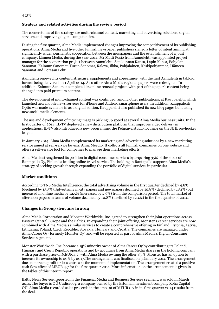# **Strategy and related activities during the review period**

The cornerstones of the strategy are multi-channel content, marketing and advertising solutions, digital services and improving digital competencies.

During the first quarter, Alma Media implemented changes improving the competitiveness of its publishing operations. Alma Media and five other Finnish newspaper publishers signed a letter of intent aiming at significantly wider journalistic cooperation between the newspapers and the establishment of a joint company, Lännen Media, during the year 2014. Mr Matti Posio from Aamulehti was appointed project manager for the cooperation project between Aamulehti, Satakunnan Kansa, Lapin Kansa, Pohjolan Sanomat, Kainuun Sanomat, Turun Sanomat, Kaleva, Ilkka, Pohjalainen, Keskipohjanmaa, Hämeen Sanomat and Forssan Lehti.

Aamulehti renewed its content, structure, supplements and appearance, with the first Aamulehti in tabloid format being delivered on 1 April 2014. Also other Alma Media regional papers were redesigned. In addition, Kainuun Sanomat completed its online renewal project, with part of the paper's content being changed into paid premium content.

The development of multi-channel content was continued, among other publications, at Kauppalehti, which launched new mobile news services for iPhone and Android smartphone users. In addition, Kauppalehti Optio was made available in as a digital edition. Kauppalehti also published its new blog pages built using new social media elements.

The use and development of moving image is picking up speed at several Alma Media business units. In the first quarter of 2014, IL-TV deployed a new distribution platform that improves video delivery in applications. IL-TV also introduced a new programme: the Pelipäivä studio focusing on the NHL ice-hockey league.

In January 2014, Alma Media complemented its marketing and advertising solutions by a new marketing service aimed at self-service buying, Alma Meedio. It collects all Finnish companies on one website and offers a self-service tool for companies to manage their marketing efforts.

Alma Media strengthened its position in digital consumer services by acquiring 35% of the stock of Rantapallo Oy, Finland's leading online travel service. The holding in Rantapallo supports Alma Media's strategy of seeking growth through expanding the portfolio of digital services in particular.

#### **Market conditions**

According to TNS Media Intelligence, the total advertising volume in the first quarter declined by 4.8% (declined by 13.3%). Advertising in city papers and newspapers declined by 10.8% (declined by 18.1%) but increased in online media by 12.5% (increased by 2.6%) from the comparison period. The total market of afternoon papers in terms of volume declined by 10.8% (declined by 12.4%) in the first quarter of 2014.

#### **Changes in Group structure in 2014**

Alma Media Corporation and Monster Worldwide, Inc. agreed to strengthen their joint operations across Eastern Central Europe and the Baltics. In expanding their joint offering, Monster's career services are now combined with Alma Media's similar services to create a comprehensive offering in Finland, Estonia, Latvia, Lithuania, Poland, Czech Republic, Slovakia, Hungary and Croatia. The companies are managed under Alma Career Oy (formerly Monster Oy) and will be reported as part of Alma Media's Digital Consumer Services segment.

Monster Worldwide, Inc. became a 15% minority owner of Alma Career Oy by contributing its Poland, Hungary and Czech Republic operations and by acquiring from Alma Media shares in the holding company with a purchase price of MEUR 4.7, with Alma Media owning the other 85 %. Monster has an option to increase its ownership to 20% by 2017.The arrangement was finalised on 3 January 2014. The arrangement does not create profit or loss entries at the moment of implementation. The arrangement created a positive cash flow effect of MEUR 4.7 for the first quarter 2014. More information on the arrangement is given in the tables of this interim report.

Baltic News Service, reported in the Financial Media and Business Services segment, was sold in March 2014. The buyer is OÜ Uudisvoog, a company owned by the Estonian investment company Koha Capital OÜ. Alma Media recorded sales proceeds in the amount of MEUR 0.7 in its first-quarter 2014 results from the deal.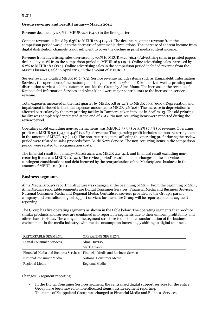## **Group revenue and result January–March 2014**

Revenue declined by 2.9% to MEUR 72.7 (74.9) in the first quarter.

Content revenue declined by 6.3% to MEUR 27.4 (29.2). The decline in content revenue from the comparison period was due to the decrease of print media circulations. The increase of content income from digital distribution channels is not sufficient to cover the decline in print media content income.

Revenue from advertising sales decreased by 3.5% to MEUR 35.1 (36.4). Advertising sales in printed papers declined by 11.1% from the comparison period to MEUR 16.9 (19.1). Online advertising sales increased by 6.2% to MEUR 18.1 (17.1). Online advertising sales in the comparison period included revenue from the Mascus business, sold in April 2013, in the amount of MEUR 1.1.

Service revenue totalled MEUR 10.2 (9.3). Service revenue includes items such as Kauppalehti Information Services, the operations of the custom publishing house Alma 360 and E-kontakti, as well as printing and distribution services sold to customers outside the Group by Alma Manu. The increase in the revenue of Kauppalehti Information Services and Alma Manu were major contributors to the increase in service revenue.

Total expenses increased in the first quarter by MEUR 0.8 or 1.1% to MEUR 70.4 (69.6). Depreciation and impairment included in the total expenses amounted to MEUR 3.6 (2.6). The increase in depreciation is affected particularly by the new printing facility in Tampere, taken into use in April 2013. The old printing facility was completely depreciated at the end of 2012. No non-recurring items were reported during the review period.

Operating profit excluding non-recurring items was MEUR 2.5 (5.5) or 3.4% (7.3%) of revenue. Operating profit was MEUR 3.2 (5.4) or 4.4% (7.2%) of revenue. The operating profit includes net non-recurring items in the amount of MEUR 0.7 (-0.1). The non-recurring items affecting the operating profit during the review period were related to sales proceeds from Baltic News Service. The non-recurring items in the comparison period were related to reorganisation costs.

The financial result for January–March 2014 was MEUR 2.2 (4.1), and financial result excluding nonrecurring items was MEUR 1.4 (4.1). The review period's result included changes in the fair value of contingent considerations and debt incurred by the reorganisation of the Marketplaces business in the amount of MEUR -0.1 (0.0).

#### **Business segments**

Alma Media Group's reporting structure was changed at the beginning of 2014. From the beginning of 2014, Alma Media's reportable segments are Digital Consumer Services, Financial Media and Business Services, National Consumer Media and Regional Media. Centralised services provided by the Group's parent company and centralised digital support services for the entire Group will be reported outside segment reporting.

The Group has five operating segments as shown in the table below. The operating segments that produce similar products and services are combined into reportable segments due to their uniform profitability and other characteristics. The change in the segment structure is due to the transformation of the business environment in the media industry, with media consumption increasingly shifting to digital channels.

| <b>REPORTABLE SEGMENT:</b> | <b>OPERATING SEGMENT:</b>                                                   |
|----------------------------|-----------------------------------------------------------------------------|
| Digital Consumer Services  | Alma Diverso                                                                |
|                            | <b>Marketplaces</b>                                                         |
|                            | Financial Media and Business Services Financial Media and Business Services |
| National Consumer Media    |                                                                             |
|                            | National Consumer Media                                                     |

Changes in segment reporting:

- In the Digital Consumer Services segment, the centralised digital support services for the entire Group have been moved to non-allocated items outside segment reporting.
- The name of Kauppalehti Group was changed to Financial Media and Business Services.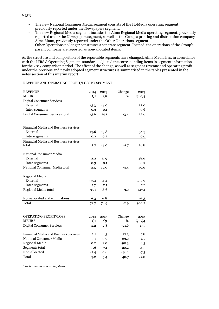The new National Consumer Media segment consists of the IL-Media operating segment, previously reported under the Newspapers segment.

The new Regional Media segment includes the Alma Regional Media operating segment, previously reported under the Newspapers segment, as well as the Group's printing and distribution company Alma Manu, previously reported under the Other Operations segment.

- Other Operations no longer constitutes a separate segment. Instead, the operations of the Group's parent company are reported as non-allocated items.

As the structure and composition of the reportable segments have changed, Alma Media has, in accordance with the IFRS 8 Operating Segments standard, adjusted the corresponding items in segment information for the 2013 comparison period. The effect of the change, as well as segment revenue and operating profit under the previous and newly adopted segment structures is summarised in the tables presented in the notes section of this interim report.

#### REVENUE AND OPERATING PROFIT/LOSS BY SEGMENT

| <b>REVENUE</b>                        | 2014           | 2013           | Change  | 2013    |
|---------------------------------------|----------------|----------------|---------|---------|
| <b>MEUR</b>                           | Q <sub>1</sub> | Q <sub>1</sub> | %       | $Q1-Q4$ |
| <b>Digital Consumer Services</b>      |                |                |         |         |
| External                              | 13.3           | 14.0           |         | 52.0    |
| Inter-segments                        | 0.3            | 0.1            |         | 0.6     |
| Digital Consumer Services total       | 13.6           | 14.1           | $-3.4$  | 52.6    |
|                                       |                |                |         |         |
|                                       |                |                |         |         |
| Financial Media and Business Services |                |                |         |         |
| External                              | 13.6           | 13.8           |         | 56.3    |
| Inter-segments                        | 0.2            | 0.2            |         | 0.6     |
| Financial Media and Business Services |                |                |         |         |
| total                                 | 13.7           | 14.0           | $-1.7$  | 56.8    |
|                                       |                |                |         |         |
| National Consumer Media               |                |                |         |         |
| External                              | 11.2           | 11.9           |         | 48.0    |
| Inter-segments                        | 0.3            | 0.1            |         | 0.9     |
| National Consumer Media total         | 11.5           | 12.0           | $-4.4$  | 49.0    |
|                                       |                |                |         |         |
| <b>Regional Media</b>                 |                |                |         |         |
| External                              | 33.4           | 34.4           |         | 139.9   |
| Inter-segments                        | 1.7            | 2.1            |         | 7.2     |
| Regional Media total                  | 35.1           | 36.6           | $-3.9$  | 147.1   |
|                                       |                |                |         |         |
| Non-allocated and eliminations        | -1.3           | $-1.8$         |         | -5.3    |
| Total                                 | 72.7           | 74.9           | $-2.9$  | 300.2   |
|                                       |                |                |         |         |
|                                       |                |                |         |         |
| OPERATING PROFIT/LOSS                 | 2014           | 2013           | Change  | 2013    |
| MEUR <sup>*</sup>                     | Q1             | Q1             | %       | $Q1-Q4$ |
| <b>Digital Consumer Services</b>      | 2.2            | 2.8            | $-21.6$ | 17.7    |
|                                       |                |                |         |         |
| Financial Media and Business Services | 2.1            | 1.3            | 57.3    | 7.8     |
| National Consumer Media               | 1.1            | 0.9            | 29.9    | 4.7     |
| Regional Media                        | 0.2            | $2.0\,$        | $-90.3$ | 4.3     |
| Segments total                        | 5.6            | 7.1            | $-20.2$ | 34.5    |
| Non-allocated                         | $-2.4$         | $-1.6$         | $-48.1$ | -7.5    |
| Total                                 | 3.2            | 5.4            | $-40.7$ | 27.0    |

\* *Including non-recurring items.*

6 (31)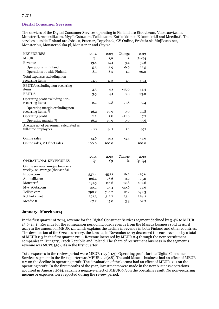# **Digital Consumer Services**

The services of the Digital Consumer Services operating in Finland are Etuovi.com, Vuokraovi.com, Monster.fi, Autotalli.com, MyyJaOsta.com, Telkku.com, Kotikokki.net, E-kontakti.fi and Meedio.fi. The services outside Finland are Jobs.cz, Prace.cz, Topjobs.sk, CV Online, Profesia.sk, MojPosao.net, Monster.hu, Monsterpolska.pl, Monster.cz and City 24.

| <b>KEY FIGURES</b>                      | 2014  | 2013  | Change  | 2013    |
|-----------------------------------------|-------|-------|---------|---------|
| <b>MEUR</b>                             | Q1    | Q1    | %       | $Q1-Q4$ |
| Revenue                                 | 13.6  | 14.1  | $-3.4$  | 52.6    |
| Operations in Finland                   | 5.5   | 5.9   | $-6.6$  | 22.5    |
| Operations outside Finland              | 8.1   | 8.2   | $-1.1$  | 30.0    |
| Total expenses excluding non-           |       |       |         |         |
| recurring items                         | 11.5  | 11.3  | $1.5\,$ | 43.4    |
| <b>EBITDA</b> excluding non-recurring   |       |       |         |         |
| items                                   | 3.5   | 4.1   | $-15.0$ | 14.4    |
| <b>EBITDA</b>                           | 3.5   | 4.1   | 0.0     | 23.0    |
| Operating profit excluding non-         |       |       |         |         |
| recurring items                         | 2.2   | 2.8   | $-21.6$ | 9.4     |
| Operating margin excluding non-         |       |       |         |         |
| recurring items, %                      | 16.2  | 19.9  | 0.0     | 17.8    |
| Operating profit                        | 2.2   | 2.8   | $-21.6$ | 17.7    |
| Operating margin, %                     | 16.2  | 19.9  | 0.0     | 33.6    |
| Average no. of personnel. calculated as |       |       |         |         |
| full-time employees                     | 488   | 482   | 1.1     | 492     |
|                                         |       |       |         |         |
| Online sales                            | 13.6  | 14.1  | $-3.4$  | 52.6    |
| Online sales, % Of net sales            | 100.0 | 100.0 |         | 100.0   |
|                                         |       |       |         |         |

|                                                                     | 2014  | 2013  | Change  | 2013  |
|---------------------------------------------------------------------|-------|-------|---------|-------|
| <b>OPERATIONAL KEY FIGURES</b>                                      | Ο1    | Q1    | %       | Q1-Q4 |
| Online services, unique browsers.<br>weekly. on average (thousands) |       |       |         |       |
| Etuovi.com                                                          | 532.4 | 458.1 | 16.2    | 459.6 |
| Autotalli.com                                                       | 126.4 | 126.6 | $-0.2$  | 125.0 |
| Monster.fi                                                          | 131.5 | 116.6 | 12.8    | 102.6 |
| MyyjaOsta.com                                                       | 20.2  | 25.4  | $-20.6$ | 22.6  |
| Telkku.com                                                          | 790.2 | 704.2 | 12.2    | 692.3 |
| Kotikokki.net                                                       | 391.3 | 312.7 | 25.1    | 328.2 |
| Meedio.fi                                                           | 67.2  | 65.0  | $3-3$   | 62.7  |

#### **January–March 2014**

In the first quarter of 2014, revenue for the Digital Consumer Services segment declined by 3.4% to MEUR 13.6 (14.1). Revenue for the comparison period included revenue from the Mascus business sold in April 2013 in the amount of MEUR 1.1, which explains the decline in revenue in both Finland and other countries. The devaluation of the Czech currency, the koruna, in November 2013 decreased the euro revenue by a total of MEUR 0.3 in the first quarter 2014. Revenue increased by MEUR 0.4 through the new recruitment companies in Hungary, Czech Republic and Poland. The share of recruitment business in the segment's revenue was 68.2% (59.6%) in the first quarter.

Total expenses in the review period were MEUR 11.5 (11.3). Operating profit for the Digital Consumer Services segment in the first quarter was MEUR 2.2 (2.8). The sold Mascus business had an effect of MEUR 0.2 on the decline in operating profit. The devaluation of the koruna had an effect of MEUR -0.1 on the operating profit. In the first months of the year, investments were made in the new business operations acquired in January 2014, causing a negative effect of MEUR 0.3 on the operating result. No non-recurring income or expenses were reported during the review period.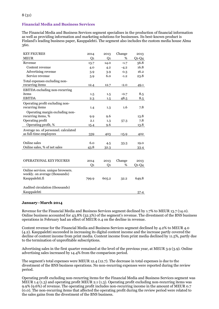# **Financial Media and Business Services**

The Financial Media and Business Services segment specialises in the production of financial information as well as providing information and marketing solutions for businesses. Its best-known product is Finland's leading business paper, Kauppalehti. The segment also includes the custom media house Alma 360.

| <b>KEY FIGURES</b>                    | 2014  | 2013  | Change  | 2013    |
|---------------------------------------|-------|-------|---------|---------|
| <b>MEUR</b>                           | Q1    | Q1    | %       | $Q1-Q4$ |
| Revenue                               | 13.7  | 14.0  | $-1.7$  | 56.8    |
| Content revenue                       | 4.0   | 4.2   | $-4.2$  | 16.8    |
| Advertising revenue                   | 3.9   | 3.9   | 0.3     | 16.2    |
| Service revenue                       | 5.9   | 6.0   | $-1.2$  | 23.8    |
| Total expenses excluding non-         |       |       |         |         |
| recurring items                       | 12.4  | 12.7  | $-2.0$  | 49.1    |
| <b>EBITDA</b> excluding non-recurring |       |       |         |         |
| items                                 | 1.5   | 1.5   | $-0.7$  | 8.5     |
| <b>EBITDA</b>                         | 2.3   | 1.5   | 48.5    | 8.5     |
| Operating profit excluding non-       |       |       |         |         |
| recurring items                       | 1.4   | 1.3   | 1.6     | 7.8     |
| Operating margin excluding non-       |       |       |         |         |
| recurring items, %                    | 9.9   | 9.6   |         | 13.8    |
| Operating profit                      | 2.1   | 1.3   | 57.3    | 7.8     |
| Operating profit, %                   | 15.4  | 9.6   |         | 13.8    |
| Average no. of personnel. calculated  |       |       |         |         |
| as full-time employees                | 339   | 403   | $-15.9$ | 402     |
|                                       |       |       |         |         |
| Online sales                          | 6.0   | 4.5   | 33.3    | 19.0    |
| Online sales, % of net sales          | 43.8  | 32.3  |         | 33.4    |
|                                       |       |       |         |         |
|                                       |       |       |         |         |
| <b>OPERATIONAL KEY FIGURES</b>        | 2014  | 2013  | Change  | 2013    |
|                                       | Q1    | Q1    | %       | $Q1-Q4$ |
| Online services, unique browsers.     |       |       |         |         |
| weekly. on average (thousands)        |       |       |         |         |
| Kauppalehti.fi                        | 799.9 | 605.2 | 32.2    | 649.8   |
|                                       |       |       |         |         |
| Audited circulation (thousands)       |       |       |         |         |
| Kauppalehti                           |       |       |         | 57.4    |

#### **January–March 2014**

Revenue for the Financial Media and Business Services segment declined by 1.7% to MEUR 13.7 (14.0). Online business accounted for 43.8% (32.3%) of the segment's revenue. The divestment of the BNS business operations in February had an effect of MEUR 0.4 on the decline in revenue.

Content revenue for the Financial Media and Business Services segment declined by 4.2% to MEUR 4.0 (4.2). Kauppalehti succeeded in increasing its digital content income and the increase partly covered the decline of content income from print media. Content income from print media declined by 11.5%, partly due to the termination of unprofitable subscriptions.

Advertising sales in the first quarter remained at the level of the previous year, at MEUR 3.9 (3.9). Online advertising sales increased by 14.4% from the comparison period.

The segment's total expenses were MEUR 12.4 (12.7). The decrease in total expenses is due to the divestment of the BNS business operations. No non-recurring expenses were reported during the review period.

Operating profit excluding non-recurring items for the Financial Media and Business Services segment was MEUR 1.4 (1.3) and operating profit MEUR 2.1 (1.3). Operating profit excluding non-recurring items was 9.9% (9.6%) of revenue. The operating profit includes non-recurring income in the amount of MEUR 0.7 (0.0). The non-recurring items that affected the operating profit during the review period were related to the sales gains from the divestment of the BNS business.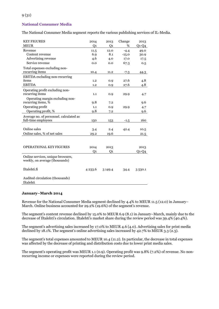#### **National Consumer Media**

The National Consumer Media segment reports the various publishing services of IL-Media.

| <b>KEY FIGURES</b>                      | 2014           | 2013           | Change  | 2013    |
|-----------------------------------------|----------------|----------------|---------|---------|
| <b>MEUR</b>                             | Q <sub>1</sub> | Q <sub>1</sub> | %       | $Q1-Q4$ |
| Revenue                                 | 11.5           | 12.0           | $-4.4$  | 49.0    |
| Content revenue                         | 6.9            | 8.1            | $-15.0$ | 30.9    |
| Advertising revenue                     | 4.6            | 4.0            | 17.0    | 17.5    |
| Service revenue                         | 0.0            | 0.0            | 67.3    | 0.5     |
| Total expenses excluding non-           |                |                |         |         |
| recurring items                         | 10.4           | 11.2           | $-7.3$  | 44.3    |
| <b>EBITDA</b> excluding non-recurring   |                |                |         |         |
| items                                   | 1.2            | 0.9            | 27.6    | 4.8     |
| <b>EBITDA</b>                           | 1,2            | 0.9            | 27.6    | 4.8     |
| Operating profit excluding non-         |                |                |         |         |
| recurring items                         | 1.1            | 0.9            | 29.9    | 4.7     |
| Operating margin excluding non-         |                |                |         |         |
| recurring items, %                      | 9.8            | 7.2            |         | 9.6     |
| Operating profit                        | 1.1            | 0.9            | 29.9    | 4.7     |
| Operating profit, %                     | 9.8            | 7.2            |         | 9.6     |
| Average no. of personnel. calculated as |                |                |         |         |
| full-time employees                     | 150            | 153            | $-1.5$  | 160     |
|                                         |                |                |         |         |
| Online sales                            | 3.4            | 2.4            | 42.4    | 10.5    |
| Online sales, % of net sales            | 29.2           | 19.6           |         | 21.5    |
|                                         |                |                |         |         |
|                                         |                |                |         |         |
| <b>OPERATIONAL KEY FIGURES</b>          | 2014           | 2013           |         | 2013    |
|                                         | Q1             | Q1             |         | $Q1-Q4$ |
| Online services, unique browsers,       |                |                |         |         |
| weekly, on average (thousands)          |                |                |         |         |
|                                         |                |                |         |         |
| Iltalehti.fi                            | 4 233.6        | 3 149.4        | 34.4    | 3530.1  |
|                                         |                |                |         |         |
| Audited circulation (thousands)         |                |                |         |         |
| Iltalehti                               |                |                |         |         |

#### **January–March 2014**

Revenue for the National Consumer Media segment declined by 4.4% to MEUR 11.5 (12.0) in January– March. Online business accounted for 29.2% (19.6%) of the segment's revenue.

The segment's content revenue declined by 15.0% to MEUR 6.9 (8.1) in January–March, mainly due to the decrease of Iltalehti's circulation. Iltalehti's market share during the review period was 39.4% (40.4%).

The segment's advertising sales increased by 17.0% to MEUR 4.6 (4.0). Advertising sales for print media declined by 18.1%. The segment's online advertising sales increased by 42.7% to MEUR 3.3 (2.3).

The segment's total expenses amounted to MEUR 10.4 (11.2). In particular, the decrease in total expenses was affected by the decrease of printing and distribution costs due to lower print media sales.

The segment's operating profit was MEUR 1.1 (0.9). Operating profit was 9.8% (7.2%) of revenue. No nonrecurring income or expenses were reported during the review period.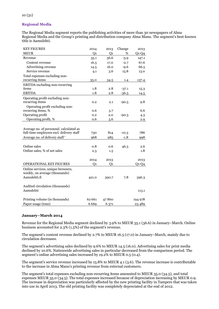# **Regional Media**

The Regional Media segment reports the publishing activities of more than 30 newspapers of Alma Regional Media and the Group's printing and distribution company Alma Manu. The segment's best-known title is Aamulehti.

| <b>KEY FIGURES</b>                       | 2014           | 2013           | Change  | 2013    |
|------------------------------------------|----------------|----------------|---------|---------|
| <b>MEUR</b>                              | Q <sub>1</sub> | Q <sub>1</sub> | %       | $Q1-Q4$ |
| Revenue                                  | 35.1           | 36.6           | $-3.9$  | 147.1   |
| Content revenue                          | 16.5           | 17.0           | $-2.7$  | 67.6    |
| Advertising revenue                      | 14.5           | 16.0           | $-9.6$  | 66.5    |
| Service revenue                          | 4.1            | 3.6            | 15.8    | 13.0    |
| Total expenses excluding non-            |                |                |         |         |
| recurring items                          | 35.0           | 34.5           | 1.4     | 137.4   |
| <b>EBITDA</b> excluding non-recurring    |                |                |         |         |
| items                                    | 1.8            | 2.8            | $-37.1$ | 15.3    |
| <b>EBITDA</b>                            | 1.8            | 2.8            | $-36.5$ | 14.5    |
| Operating profit excluding non-          |                |                |         |         |
| recurring items                          | 0.2            | 2.1            | $-90.5$ | 9.8     |
| Operating profit excluding non-          |                |                |         |         |
| recurring items, %                       | 0.6            | 5.7            |         | 6.6     |
| Operating profit                         | 0.2            | 2.0            | $-90.3$ | 4.3     |
| Operating profit, %                      | 0.6            | 5.6            |         | 2.9     |
|                                          |                |                |         |         |
| Average no. of personnel. calculated as  |                |                |         |         |
| full-time employees excl. delivery staff | 730            | 814            | $-10.3$ | 786     |
| Average no. of delivery staff*           | 968            | 985            | $-1.8$  | 998     |
|                                          |                |                |         |         |
| Online sales                             | 0.8            | 0.6            | 46.3    | 2.6     |
| Online sales, % of net sales             | 2.3            | 1.5            |         | 1.8     |
|                                          |                |                |         |         |
|                                          | 2014           | 2013           |         | 2013    |
| OPERATIONAL KEY FIGURES                  | Q1             | Q1             |         | $Q1-Q4$ |
| Online services, unique browsers,        |                |                |         |         |
| weekly, on average (thousands)           |                |                |         |         |
| Aamulehti.fi                             | 421.0          | 390.7          | 7.8     | 396.3   |
|                                          |                |                |         |         |
| Audited circulation (thousands)          |                |                |         |         |
| Aamulehti                                |                |                |         | 113.1   |
|                                          |                |                |         |         |
| Printing volume (in thousands)           | 62 661         | 47860          |         | 194 978 |
| Paper usage (tons)                       | 6669           | 6 371          |         | 23 489  |

#### **January–March 2014**

Revenue for the Regional Media segment declined by 3.9% to MEUR 35.1 (36.6) in January–March. Online business accounted for 2.3% (1.5%) of the segment's revenue.

The segment's content revenue declined by 2.7% to MEUR 16.5 (17.0) in January–March, mainly due to circulation decreases.

The segment's advertising sales declined by 9.6% to MEUR 14.5 (16.0). Advertising sales for print media declined by 10.6%. Nationwide advertising sales in particular decreased from the comparison period. The segment's online advertising sales increased by 19.2% to MEUR 0.5 (0.4).

The segment's service revenue increased by 15.8% to MEUR 4.1 (3.6). The revenue increase is contributable to the increase in Alma Manu's printing revenue from external customers.

The segment's total expenses excluding non-recurring items amounted to MEUR 35.0 (34.5), and total expenses MEUR 35.0 (34.5). The total expenses increased because of depreciation increasing by MEUR 0.9. The increase in depreciation was particularly affected by the new printing facility in Tampere that was taken into use in April 2013. The old printing facility was completely depreciated at the end of 2012.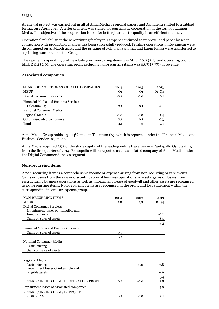A renewal project was carried out in all of Alma Media's regional papers and Aamulehti shifted to a tabloid format on 1 April 2014. A letter of intent was signed for journalistic cooperation in the form of Lännen Media. The objective of the cooperation is to offer better journalistic quality in an efficient manner.

Operational reliability at the new printing facility in Tampere continued to improve, and paper losses in connection with production changes has been successfully reduced. Printing operations in Rovaniemi were discontinued on 31 March 2014, and the printing of Pohjolan Sanomat and Lapin Kansa were transferred to a printing house outside the Group.

The segment's operating profit excluding non-recurring items was MEUR 0.2 (2.1), and operating profit MEUR 0.2 (2.0). The operating profit excluding non-recurring items was 0.6% (5.7%) of revenue.

#### **Associated companies**

| SHARE OF PROFIT OF ASSOCIATED COMPANIES | 2014   | 2013 | 2013   |
|-----------------------------------------|--------|------|--------|
| <b>MEUR</b>                             | O1     | O1   | Q1-Q4  |
| Digital Consumer Services               | $-0.1$ | 0.0  | 0.1    |
| Financial Media and Business Services   |        |      |        |
| Talentum Oyj                            | 0.1    | 0.1  | $-3.1$ |
| National Consumer Media                 |        |      |        |
| Regional Media                          | 0.0    | 0.0  | $-1.4$ |
| Other associated companies              | 0.1    | 0.1  | 0.3    |
| Total                                   | $-0.1$ | 0.2  | $-4.1$ |

Alma Media Group holds a 32.14% stake in Talentum Oyj, which is reported under the Financial Media and Business Services segment.

Alma Media acquired 35% of the share capital of the leading online travel service Rantapallo Oy. Starting from the first quarter of 2014, Rantapallo will be reported as an associated company of Alma Media under the Digital Consumer Services segment.

#### **Non-recurring items**

A non-recurring item is a comprehensive income or expense arising from non-recurring or rare events. Gains or losses from the sale or discontinuation of business operations or assets, gains or losses from restructuring business operations as well as impairment losses of goodwill and other assets are recognised as non-recurring items. Non-recurring items are recognised in the profit and loss statement within the corresponding income or expense group.

| <b>NON-RECURRING ITEMS</b>                   | 2014 | 2013   | 2013    |
|----------------------------------------------|------|--------|---------|
| <b>MEUR</b>                                  | Q1   | O1     | $Q1-Q4$ |
| Digital Consumer Services                    |      |        |         |
| Impairment losses of intangible and          |      |        |         |
| tangible assets                              |      |        | $-0.2$  |
| Gains on sales of assets                     |      |        | 8.5     |
|                                              |      |        | 8.3     |
| <b>Financial Media and Business Services</b> |      |        |         |
| Gains on sales of assets                     | 0.7  |        |         |
|                                              | 0.7  |        |         |
| National Consumer Media                      |      |        |         |
| Restructuring                                |      |        |         |
| Gains on sales of assets                     |      |        |         |
|                                              |      |        |         |
| Regional Media                               |      |        |         |
| Restructuring                                |      | $-0.0$ | $-3.8$  |
| Impairment losses of intangible and          |      |        |         |
| tangible assets                              |      |        | $-1.6$  |
|                                              |      |        | $-5.4$  |
| NON-RECURRING ITEMS IN OPERATING PROFIT      | 0.7  | $-0.0$ | 2.8     |
| Impairment losses of associated companies    |      |        | $-5.0$  |
| NON-RECURRING ITEMS IN PROFIT                |      |        |         |
| <b>BEFORE TAX</b>                            | 0.7  | $-0.0$ | $-2.1$  |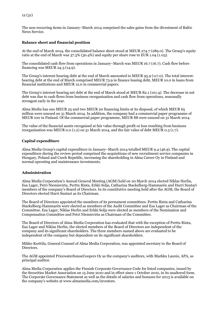The non-recurring items in January–March 2014 comprised the sales gains from the divestment of Baltic News Service.

#### **Balance sheet and financial position**

At the end of March 2014, the consolidated balance sheet stood at MEUR 274.7 (289.0). The Group's equity ratio at the end of March was 37.3% (30.4%) and equity per share rose to EUR 1.04 (1.03).

The consolidated cash flow from operations in January–March was MEUR 16.7 (16.7). Cash flow before financing was MEUR 24.3 (14.9).

The Group's interest-bearing debt at the end of March amounted to MEUR 95.9 (117.0). The total interestbearing debt at the end of March comprised MEUR 73.9 in finance leasing debt, MEUR 10.0 in loans from financial institutions and MEUR 12.0 in commercial papers.

The Group's interest-bearing net debt at the end of March stood at MEUR 82.1 (101.4). The decrease in net debt was due to cash flows from business reorganisation and cash flow from operations, seasonally strongest early in the year.

Alma Media has one MEUR 25 and two MEUR 20 financing limits at its disposal, of which MEUR 65 million were unused on 31 March 2014. In addition, the company had a commercial paper programme of MEUR 100 in Finland. Of the commercial paper programme, MEUR 88 were unused on 31 March 2014.

The value of the financial assets recognised at fair value through profit or loss resulting from business reorganisation was MEUR 0.0 (1.2) on 31 March 2014, and the fair value of debt MEUR 0.3 (1.7).

#### **Capital expenditure**

Alma Media Group's capital expenditure in January–March 2014 totalled MEUR 9.4 (46.9). The capital expenditure during the review period comprised the acquisitions of new recruitment service companies in Hungary, Poland and Czech Republic, increasing the shareholding in Alma Career Oy in Finland and normal operating and maintenance investments.

#### **Administration**

Alma Media Corporation's Annual General Meeting (AGM) held on 20 March 2014 elected Niklas Herlin, Esa Lager, Petri Niemisvirta, Perttu Rinta, Erkki Solja, Catharina Stackelberg-Hammarén and Harri Suutari members of the company's Board of Directors. In its constitutive meeting held after the AGM, the Board of Directors elected Harri Suutari as its Chairman.

The Board of Directors appointed the members of its permanent committees. Perttu Rinta and Catharina Stackelberg-Hammarén were elected as members of the Audit Committee and Esa Lager as Chairman of the Committee. Esa Lager, Niklas Herlin and Erkki Solja were elected as members of the Nomination and Compensation Committee and Petri Niemisvirta as Chairman of the Committee.

The Board of Directors of Alma Media Corporation has evaluated that with the exception of Perttu Rinta, Esa Lager and Niklas Herlin, the elected members of the Board of Directors are independent of the company and its significant shareholders. The three members named above are evaluated to be independent of the company but dependent on its significant shareholders.

Mikko Korttila, General Counsel of Alma Media Corporation, was appointed secretary to the Board of Directors.

The AGM appointed PricewaterhouseCoopers Oy as the company's auditors, with Markku Launis, APA, as principal auditor.

Alma Media Corporation applies the Finnish Corporate Governance Code for listed companies, issued by the Securities Market Association on 15 June 2010 and in effect since 1 October 2010, in its unaltered form. The Corporate Governance Statement as well as the details of salaries and bonuses for 2013 is available on the company's website at www.almamedia.com/investors.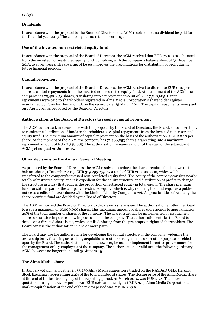# **Dividends**

In accordance with the proposal by the Board of Directors, the AGM resolved that no dividend be paid for the financial year 2013. The company has no retained earnings.

#### **Use of the invested non-restricted equity fund**

In accordance with the proposal of the Board of Directors, the AGM resolved that EUR 76,100,000 be used from the invested non-restricted equity fund, complying with the company's balance sheet of 31 December 2013, to cover losses. The covering of losses improves the preconditions for distribution of profit during future financial periods.

## **Capital repayment**

In accordance with the proposal of the Board of Directors, the AGM resolved to distribute EUR 0.10 per share as capital repayments from the invested non-restricted equity fund. At the moment of the AGM, the company has 75,486,853 shares, translating into a repayment amount of EUR 7,548,685. Capital repayments were paid to shareholders registered in Alma Media Corporation's shareholder register, maintained by Euroclear Finland Ltd, on the record date, 25 March 2014. The capital repayments were paid on 1 April 2014 as proposed by the Board of Directors.

### **Authorisation to the Board of Directors to resolve capital repayment**

The AGM authorised, in accordance with the proposal by the Board of Directors, the Board, at its discretion, to resolve the distribution of funds to shareholders as capital repayments from the invested non-restricted equity fund. The maximum amount of capital repayment on the basis of the authorisation is EUR 0.10 per share. At the moment of the AGM, the company has 75,486,853 shares, translating into a maximum repayment amount of EUR 7,548,685. The authorisation remains valid until the start of the subsequent AGM, yet not past 30 June 2015.

#### **Other decisions by the Annual General Meeting**

As proposed by the Board of Directors, the AGM resolved to reduce the share premium fund shown on the balance sheet 31 December 2013, EUR 319,295,759, by a total of EUR 200,000,000, which will be transferred to the company's invested non-restricted equity fund. The equity of the company consists nearly totally of restricted equity, and it is expedient for the equity structure and distribution of profits to change the structure in a way that reduces the proportion of restricted equity in total equity. The share premium fund constitutes part of the company's restricted equity, which is why reducing the fund requires a public notice to creditors in accordance with the Limited Liability Companies Act. All practicalities of reducing the share premium fund are decided by the Board of Directors.

The AGM authorised the Board of Directors to decide on a share issue. The authorisation entitles the Board to issue a maximum of 15,000,000 shares. This maximum amount of shares corresponds to approximately 20% of the total number of shares of the company. The share issue may be implemented by issuing new shares or transferring shares now in possession of the company. The authorisation entitles the Board to decide on a directed share issue, which entails deviating from the pre-emption rights of shareholders. The Board can use the authorisation in one or more parts.

The Board may use the authorisation for developing the capital structure of the company, widening the ownership base, financing or realising acquisitions or other arrangements, or for other purposes decided upon by the Board. The authorisation may not, however, be used to implement incentive programmes for the management or key employees of the company. The authorisation is valid until the following ordinary AGM, however no longer than until 30 June 2015.

#### **The Alma Media share**

In January–March, altogether 1,655,230 Alma Media shares were traded on the NASDAQ OMX Helsinki Stock Exchange, representing 2.2% of the total number of shares. The closing price of the Alma Media share at the end of the last trading day of the reporting period, 31 March 2014, was EUR 2.78. The lowest quotation during the review period was EUR 2.60 and the highest EUR 3.15. Alma Media Corporation's market capitalisation at the end of the review period was MEUR 209.9.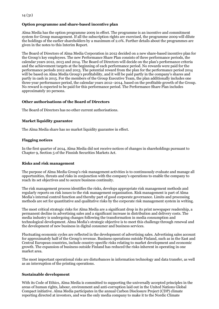# **Option programme and share-based incentive plan**

Alma Media has the option programme 2009 in effect. The programme is an incentive and commitment system for Group management. If all the subscription rights are exercised, the programme 2009 will dilute the holdings of the earlier shareholders by a maximum of 2.0%. Further details about the programmes are given in the notes to this Interim Report.

The Board of Directors of Alma Media Corporation in 2012 decided on a new share-based incentive plan for the Group's key employees. The new Performance Share Plan consists of three performance periods, the calendar years 2012, 2013 and 2014. The Board of Directors will decide on the plan's performance criteria and the achievement targets at the beginning of each performance period. No rewards were paid for the performance periods 2012 and 2013. The potential reward from the plan for the performance period 2014 will be based on Alma Media Group's profitability, and it will be paid partly in the company's shares and partly in cash in 2015. For the members of the Group Executive Team, the plan additionally includes one three-year performance period, the calendar years 2012–2014, based on the profitable growth of the Group. No reward is expected to be paid for this performance period. The Performance Share Plan includes approximately 20 persons.

### **Other authorisations of the Board of Directors**

The Board of Directors has no other current authorisations.

### **Market liquidity guarantee**

The Alma Media share has no market liquidity guarantee in effect.

#### **Flagging notices**

In the first quarter of 2014, Alma Media did not receive notices of changes in shareholdings pursuant to Chapter 9, Section 5 of the Finnish Securities Markets Act.

#### **Risks and risk management**

The purpose of Alma Media Group's risk management activities is to continuously evaluate and manage all opportunities, threats and risks in conjunction with the company's operations to enable the company to reach its set objectives and to secure business continuity.

The risk management process identifies the risks, develops appropriate risk management methods and regularly reports on risk issues to the risk management organisation. Risk management is part of Alma Media's internal control function and thereby part of good corporate governance. Limits and processing methods are set for quantitative and qualitative risks by the corporate risk management system in writing.

The most critical strategic risks for Alma Media are a significant drop in its print newspaper readership, a permanent decline in advertising sales and a significant increase in distribution and delivery costs. The media industry is undergoing changes following the transformation in media consumption and technological development. Alma Media's strategic objective is to meet this challenge through renewal and the development of new business in digital consumer and business services.

Fluctuating economic cycles are reflected in the development of advertising sales. Advertising sales account for approximately half of the Group's revenue. Business operations outside Finland, such as in the East and Central European countries, include country-specific risks relating to market development and economic growth. The expansion of business outside Finland has reduced the risks inherent in operating in one market area.

The most important operational risks are disturbances in information technology and data transfer, as well as an interruption of the printing operations.

#### **Sustainable development**

With its Code of Ethics, Alma Media is committed to supporting the universally accepted principles in the areas of human rights, labour, environment and anti-corruption laid out in the United Nations Global Compact initiative. Alma Media participates in the annual Carbon Disclosure Project (CDP) climate reporting directed at investors, and was the only media company to make it to the Nordic Climate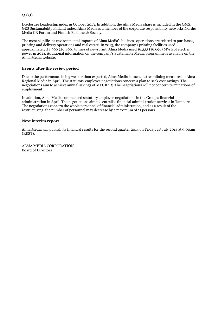Disclosure Leadership index in October 2013. In addition, the Alma Media share is included in the OMX GES Sustainability Finland index. Alma Media is a member of the corporate responsibility networks Nordic Media CR Forum and Finnish Business & Society.

The most significant environmental impacts of Alma Media's business operations are related to purchases, printing and delivery operations and real estate. In 2013, the company's printing facilities used approximately 24,900 (26,400) tonnes of newsprint. Alma Media used 16,333 (16,696) MWh of electric power in 2013. Additional information on the company's Sustainable Media programme is available on the Alma Media website.

#### **Events after the review period**

Due to the performance being weaker than expected, Alma Media launched streamlining measures in Alma Regional Media in April. The statutory employee negotiations concern a plan to seek cost savings. The negotiations aim to achieve annual savings of MEUR 1.5. The negotiations will not concern terminations of employment.

In addition, Alma Media commenced statutory employee negotiations in the Group's financial administration in April. The negotiations aim to centralise financial administration services in Tampere. The negotiations concern the whole personnel of financial administration, and as a result of the restructuring, the number of personnel may decrease by a maximum of 11 persons.

#### **Next interim report**

Alma Media will publish its financial results for the second quarter 2014 on Friday, 18 July 2014 at 9:00am (EEST).

ALMA MEDIA CORPORATION Board of Directors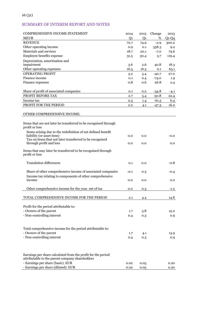# SUMMARY OF INTERIM REPORT AND NOTES

| COMPREHENSIVE INCOME STATEMENT<br><b>MEUR</b>                                         | 2014<br>Q <sub>1</sub> | 2013<br>Q <sub>1</sub> | Change<br>% | 2013<br>$Q1-Q4$ |
|---------------------------------------------------------------------------------------|------------------------|------------------------|-------------|-----------------|
| <b>REVENUE</b>                                                                        | 72.7                   | 74.9                   | $-2.9$      | 300.2           |
| Other operating income                                                                | 0.9                    | 0.1                    | 558.3       | 9.2             |
| Materials and services                                                                | 18.7                   | 20.1                   | $-7.0$      | 79.6            |
| Employee benefits expense                                                             | 31.5                   | 30.4                   | 3.7         | 119.4           |
| Depreciation, amortization and                                                        |                        |                        |             |                 |
| impairment                                                                            | 3.6                    | 2.6                    | 40.8        | 18.3            |
| Other operating expenses                                                              | 16.5                   | 16.5                   | 0.1         | 65.1            |
| <b>OPERATING PROFIT</b>                                                               | 3.2                    | 5.4                    | $-40.7$     | 27.0            |
| Finance income                                                                        | 0.1                    | 0.4                    | $-74.0$     | 1.9             |
| Finance expenses                                                                      | 0.8                    | 0.6                    | 26.8        | 2.4             |
|                                                                                       |                        |                        |             |                 |
| Share of profit of associated companies                                               | 0.1                    | 0.2                    | $-34.8$     | -4.1            |
| PROFIT BEFORE TAX                                                                     | 2.7                    | 5.4                    | $-50.8$     | 22.4            |
| Income tax                                                                            | 0.5                    | 1.4                    | $-61.5$     | 6.4             |
| PROFIT FOR THE PERIOD                                                                 | 2.2                    | 4.1                    | $-47.3$     | 16.0            |
|                                                                                       |                        |                        |             |                 |
| OTHER COMPREHENSIVE INCOME:                                                           |                        |                        |             |                 |
| Items that are not later be transferred to be recognised through                      |                        |                        |             |                 |
| profit or loss                                                                        |                        |                        |             |                 |
| Items arising due to the redefinition of net defined benefit                          |                        |                        |             |                 |
| liability (or asset item)<br>Tax on items that not later transferred to be recognised | 0.0                    | 0.0                    |             | $-0.0$          |
| through profit and loss                                                               | 0.0                    | 0.0                    |             | 0.0             |
| Items that may later be transferred to be recognised through<br>profit or loss        |                        |                        |             |                 |
| <b>Translation differences</b>                                                        | 0.1                    | 0.0                    |             | -0.8            |
| Share of other comprehensive income of associated companies                           | $-0.1$                 | 0.3                    |             | $-0.4$          |
| Income tax relating to components of other comprehensive<br>income                    | 0.0                    | 0.0                    |             | 0.0             |
| Other comprehensive income for the year. net of tax                                   | 0.0                    | 0.3                    |             | $-1.2$          |
|                                                                                       |                        |                        |             |                 |
| TOTAL COMPREHENSIVE INCOME FOR THE PERIOD                                             | 2.1                    | 4.4                    |             | 14.8            |
|                                                                                       |                        |                        |             |                 |
| Profit for the period attributable to:                                                |                        |                        |             |                 |
| - Owners of the parent                                                                | 1.7                    | 3.8                    |             | 15.0            |
| - Non-controlling interest                                                            | 0.4                    | 0.3                    |             | 0.9             |
|                                                                                       |                        |                        |             |                 |
| Total comprehensive income for the period attributable to:                            |                        |                        |             |                 |
| - Owners of the parent<br>- Non-controlling interest                                  | 1.7                    | 4.1                    |             | 13.9            |
|                                                                                       | 0.4                    | 0.3                    |             | 0.9             |
| Earnings per share calculated from the profit for the period                          |                        |                        |             |                 |
| attributable to the parent company shareholders                                       |                        |                        |             |                 |
| - Earnings per share (basic). EUR                                                     | 0.02                   | 0.05                   |             | 0.20            |
| - Earnings per share (diluted). EUR                                                   | 0.02                   | 0.05                   |             | 0.20            |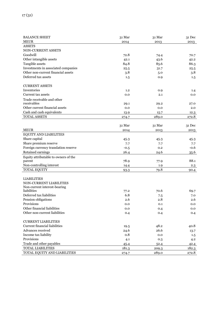| <b>BALANCE SHEET</b>                           | 31 Mar | 31 Mar | 31 Dec |
|------------------------------------------------|--------|--------|--------|
| <b>MEUR</b>                                    | 2014   | 2013   | 2013   |
| <b>ASSETS</b>                                  |        |        |        |
| NON-CURRENT ASSETS                             |        |        |        |
| Goodwill                                       | 72.8   | 74.4   | 70.7   |
| Other intangible assets                        | 42.1   | 43.6   | 42.2   |
| Tangible assets                                | 84.8   | 85.6   | 86.3   |
| Investments in associated companies            | 25.5   | 31.7   | 25.5   |
| Other non-current financial assets             | 3.8    | 5.0    | 3.8    |
| Deferred tax assets                            | 1.5    | 0.9    | 1.5    |
|                                                |        |        |        |
| <b>CURRENT ASSETS</b>                          |        |        |        |
| Inventories                                    | 1.2    | 0.9    | 1.4    |
| Current tax assets                             | 0.0    | 2.1    | 0.0    |
| Trade receivable and other                     |        |        |        |
| receivables                                    | 29.1   | 29.2   | 27.0   |
| Other current financial assets                 | 0.0    | 0.0    | 2.0    |
| Cash and cash equivalents                      | 13.9   | 15.7   | 12.3   |
| <b>TOTAL ASSETS</b>                            | 274.7  | 289.0  | 272.8  |
|                                                | 31 Mar | 31 Mar | 31 Dec |
| <b>MEUR</b>                                    |        |        |        |
| EQUITY AND LIABILITIES                         | 2014   | 2013   | 2013   |
| Share capital                                  |        |        |        |
|                                                | 45.3   | 45.3   | 45.3   |
| Share premium reserve                          | 7.7    | 7.7    | 7.7    |
| Foreign currency translation reserve           | $-0.5$ | 0.2    | $-0.6$ |
| Retained earnings                              | 26.4   | 24.6   | 35.6   |
| Equity attributable to owners of the<br>parent | 78.9   | 77.9   | 88.1   |
| Non-controlling interest                       | 14.4   | 1.9    | 2.3    |
| <b>TOTAL EQUITY</b>                            | 93.3   | 79.8   | 90.4   |
|                                                |        |        |        |
| <b>LIABILITIES</b>                             |        |        |        |
| NON-CURRENT LIABILITIES                        |        |        |        |
| Non-current interest-bearing                   |        |        |        |
| liabilities                                    | 77.2   | 70.6   | 69.7   |
| Deferred tax liabilities                       | 6.8    | 7.5    | 7.0    |
| Pension obligations                            | 2.6    | 2.8    | 2.6    |
| Provisions                                     | 0.0    | 0.1    | 0.0    |
| Other financial liabilities                    | 0.0    | 0.4    | 0.0    |
| Other non-current liabilities                  | 0.4    | 0.4    | 0.4    |
|                                                |        |        |        |
| <b>CURRENT LIABILITIES</b>                     |        |        |        |
| <b>Current financial liabilities</b>           | 19.5   | 48.2   | 40.8   |
| Advances received                              | 24.6   | 26.6   | 13.7   |
| Income tax liability                           | 0.8    | 0.0    | 1.5    |
| Provisions                                     | 4.1    | 0.3    | 4.2    |
| Trade and other payables                       | 45.4   | 52.4   | 42.4   |
| TOTAL LIABILITIES                              | 181.3  | 209.3  | 182.3  |
| TOTAL EQUITY AND LIABILITIES                   | 274.7  | 289.0  | 272.8  |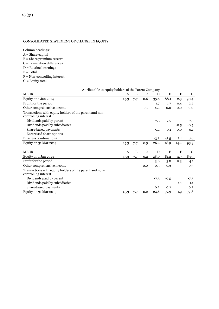### CONSOLIDATED STATEMENT OF CHANGE IN EQUITY

Column headings:

- $A =$ Share capital
- B = Share premium reserve
- C = Translation differences
- D = Retained earnings
- $E = Total$
- F = Non-controlling interest
- $G =$  Equity total

| <b>MEUR</b>                                                                     | A    | B   | $\mathbf C$ | D      | E      | $\mathbf F$ | G      |
|---------------------------------------------------------------------------------|------|-----|-------------|--------|--------|-------------|--------|
| Equity on 1 Jan 2014                                                            | 45.3 | 7.7 | $-0.6$      | 35.6   | 88.1   | 2.3         | 90.4   |
| Profit for the period                                                           |      |     |             | 1.7    | 1.7    | 0.4         | 2.2    |
| Other comprehensive income                                                      |      |     | 0.1         | $-0.1$ | 0.0    | 0.0         | 0.0    |
| Transactions with equity holders of the parent and non-<br>controlling interest |      |     |             |        |        |             |        |
| Dividends paid by parent                                                        |      |     |             | $-7.5$ | $-7.5$ |             | -7.5   |
| Dividends paid by subsidiaries                                                  |      |     |             |        |        | $-0.5$      | $-0.5$ |
| Share-based payments                                                            |      |     |             | 0.1    | 0.1    | 0.0         | 0.1    |
| <b>Excercised share options</b>                                                 |      |     |             |        |        |             |        |
| Business combinations                                                           |      |     |             | $-3.5$ | $-3.5$ | 12.1        | 8.6    |
| Equity on 31 Mar 2014                                                           | 45.3 | 7.7 | $-0.5$      | 26.4   | 78.9   | 14.4        | 93.3   |
|                                                                                 |      |     |             |        |        |             |        |
| <b>MEUR</b>                                                                     | A    | B   | C           | D      | E      | F           | G      |
| Equity on 1 Jan 2013                                                            | 45.3 | 7.7 | 0.2         | 28.0   | 81.2   | 2.7         | 83.9   |
| Profit for the period                                                           |      |     |             | 3.8    | 3.8    | 0.3         | 4.1    |
| Other comprehensive income                                                      |      |     | 0.0         | 0.3    | 0.3    |             | 0.3    |
| Transactions with equity holders of the parent and non-<br>controlling interest |      |     |             |        |        |             |        |
| Dividends paid by parent                                                        |      |     |             | $-7.5$ | $-7.5$ |             | $-7.5$ |
| Dividends paid by subsidiaries                                                  |      |     |             |        |        | $-1.1$      | $-1.1$ |
| Share-based payments                                                            |      |     |             | 0.2    | 0.2    |             | 0.2    |
| Equity on 31 Mar 2013                                                           | 45.3 | 7.7 | 0.2         | 24.6   | 77.9   | 1.9         | 79.8   |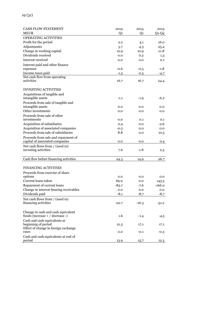| <b>CASH FLOW STATEMENT</b>             | 2014    | 2013           | 2013     |
|----------------------------------------|---------|----------------|----------|
| <b>MEUR</b>                            | Q1      | Q <sub>1</sub> | $Q1-Q4$  |
| <b>OPERATING ACTIVITIES</b>            |         |                |          |
| Profit for the period                  | 2.2     | 4.1            | 16.0     |
| Adjustments                            | 3.7     | 4.3            | 25.4     |
| Change in working capital              | 12.9    | 10.9           | -11.8    |
| Dividends received                     | 0.0     | 0.2            | $1.3\,$  |
| Interest received                      | 0.0     | 0.0            | 0.1      |
| Interest paid and other finance        |         |                |          |
| expenses                               | -0.6    | $-0.5$         | -1.8     |
| Income taxes paid                      |         | $-2.3$         |          |
| Net cash flow from operating           | -1.5    |                | -4.7     |
| activities                             | 16.7    | 16.7           | 24.4     |
|                                        |         |                |          |
| <b>INVESTING ACTIVITIES</b>            |         |                |          |
| Acquisitions of tangible and           |         |                |          |
| intangible assets                      | $-1.1$  | $-1.9$         | $-6.2$   |
| Proceeds from sale of tangible and     |         |                |          |
| intangible assets                      | 0.0     | 0.0            | 0.0      |
| Other investments                      | 0.0     | 0.0            | 0.0      |
| Proceeds from sale of other            |         |                |          |
| investments                            | 0.0     | 0.1            | 0.1      |
| Acquisition of subsidiaries            | 0.4     | 0.0            | -2.6     |
| Acquisition of associated companies    | $-0.5$  | 0.0            | 0.0      |
| Proceeds from sale of subsidiaries     | 8.8     | 0.0            | 10.5     |
| Proceeds from sale and repayment of    |         |                |          |
| capital of associated companies        | 0.0     | 0.0            | 0.4      |
| Net cash flows from / (used in)        |         |                |          |
| investing activities                   | 7.6     | -1.8           | 2.3      |
|                                        |         |                |          |
| Cash flow before financing activities  | 24.3    | 14.9           | 26.7     |
|                                        |         |                |          |
| <b>FINANCING ACTIVITIES</b>            |         |                |          |
| Proceeds from exercise of share        |         |                |          |
| options                                | 0.0     | 0.0            | 0.0      |
| Current loans taken                    | 69.0    | 0.0            | 143.5    |
| Repayment of current loans             | $-83.7$ | -7.6           | $-166.0$ |
| Change in interest-bearing receivables | 0.0     | 0.0            | 0.0      |
| Dividends paid                         | $-8.1$  | $-8.7$         | $-8.7$   |
| Net cash flows from / (used in)        |         |                |          |
| financing activities                   | $-22.7$ | $-16.3$        | $-31.2$  |
|                                        |         |                |          |
| Change in cash and cash equivalent     |         |                |          |
| funds (increase $+ /$ decrease -)      | 1.6     | $-1.4$         | $-4.5$   |
| Cash and cash equivalents at           |         |                |          |
| beginning of period                    | 12.3    | 17.1           | 17.1     |
| Effect of change in foreign exchange   |         |                |          |
| rates                                  | 0.0     | $-0.1$         | $-0.3$   |
| Cash and cash equivalents at end of    |         |                |          |
| period                                 | 13.9    | 15.7           | 12.3     |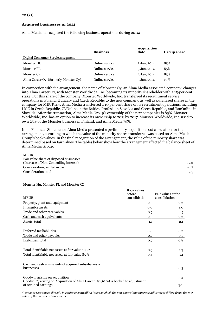#### **Acquired businesses in 2014**

Alma Media has acquired the following business operations during 2014:

|                                      | <b>Business</b> | <b>Acquisition</b><br>date | <b>Group share</b> |
|--------------------------------------|-----------------|----------------------------|--------------------|
| Digital Consumer Services segment    |                 |                            |                    |
| Monster HU                           | Online service  | 3 Jan, 2014                | 85%                |
| Monster PL                           | Online service  | 3 Jan, 2014                | 85%                |
| Monster CZ                           | Online service  | 3 Jan, 2014                | 85%                |
| Alma Career Oy (formerly Monster Oy) | Online service  | 3 Jan, 2014                | 10%                |

In connection with the arrangement, the name of Monster Oy, an Alma Media associated company, changes into Alma Career Oy, with Monster Worldwide, Inc. becoming its minority shareholder with a 15-per cent stake. For this share of the company, Monster Worldwide, Inc. transferred its recruitment service operations in Poland, Hungary and Czech Republic to the new company, as well as purchased shares in the company for MEUR 4.7. Alma Media transferred a 15-per cent share of its recruitment operations, including LMC in Czech Republic, CVOnline in the Baltics, Profesia in Slovakia and Czech Republic, and TauOnline in Slovakia. After the transaction, Alma Media Group's ownership of the new companies is 85%. Monster Worldwide, Inc. has an option to increase its ownership to 20% by 2017. Monster Worldwide, Inc. used to own 25% of the Monster business in Finland, and Alma Media 75%.

In its Financial Statements, Alma Media presented a preliminary acquisition cost calculation for the arrangement, according to which the value of the minority shares transferred was based on Alma Media Group's book values. In the final recognition of the arrangement, the value of the minority share was determined based on fair values. The tables below show how the arrangement affected the balance sheet of Alma Media Group.

| <b>MEUR</b>                             |        |
|-----------------------------------------|--------|
| Fair value share of disposed businesses |        |
| (Increase of Non-Controlling interest)  | 12.2   |
| Consideration, settled in cash          | $-4.7$ |
| Consideration total                     | 7.5    |

#### Monster Hu. Monster PL and Monster CZ

|                                                                                                                                    | Book values<br>before | Fair values at the |     |
|------------------------------------------------------------------------------------------------------------------------------------|-----------------------|--------------------|-----|
| <b>MEUR</b>                                                                                                                        | consolidation         | consolidation      |     |
| Property, plant and equipment                                                                                                      | 0.3                   |                    | 0.3 |
| Intangible assets                                                                                                                  | 0.0                   |                    | 1.0 |
| Trade and other receivables                                                                                                        | 0.5                   |                    | 0.5 |
| Cash and cash equivalents                                                                                                          | 0.3                   |                    | 0.3 |
| Assets, total                                                                                                                      | 1.1                   |                    | 2.1 |
| Deferred tax liabilities                                                                                                           | 0.0                   |                    | 0.2 |
| Trade and other payables                                                                                                           | 0.7                   |                    | 0.7 |
| Liabilities, total                                                                                                                 | 0.7                   |                    | 0.8 |
| Total identifiable net assets at fair value 100 %                                                                                  | 0.5                   |                    | 1.3 |
| Total identifiable net assets at fair value 85 %                                                                                   | 0.4                   |                    | 1.1 |
| Cash and cash equivalents of acquired subsidiaries or<br>businesses                                                                |                       |                    | 0.3 |
| Goodwill arising on acquisition<br>Goodwill <sup>*</sup> ) arising on Acquisition of Alma Career Oy (10 %) is booked to adjustment |                       |                    | 3.2 |
| of retained earnings                                                                                                               |                       |                    | 3.1 |

*\*) amount recognized directly in equity of controlling interest which the non-controlling interests adjustment differs from the fair value of the consideration received.*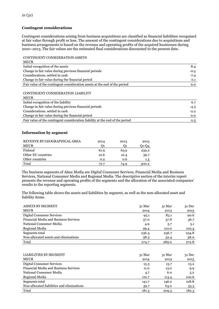# **Contingent considerations**

Contingent considerations arising from business acquisitions are classified as financial liabilities recognised at fair value through profit or loss. The amount of the contingent considerations due to acquisitions and business arrangements is based on the revenue and operating profits of the acquired businesses during 2010–2013. The fair values are the estimated final considerations discounted to the present date.

CONTINGENT CONSIDERATION ASSETS

| <b>MEUR</b>                                                                |        |
|----------------------------------------------------------------------------|--------|
| Initial recognition of the assets                                          | 8.4    |
| Change in fair value during previous financial periods                     | $-0.5$ |
| Considerations, settled in cash                                            | $-7.9$ |
| Change in fair value during the financial period                           | 0.1    |
| Fair value of the contingent consideration assets at the end of the period | 0.0    |
|                                                                            |        |
| CONTINGENT CONSIDERATION LIABILITY                                         |        |
| <b>MEUR</b>                                                                |        |
| Initial recognition of the liability                                       | 6.7    |
| Change in fair value during previous financial periods                     | $-4.3$ |
| Considerations, settled in cash                                            | $-2.2$ |
| Change in fair value during the financial period                           | n n    |

| Change in fair value during the financial period                              |  |
|-------------------------------------------------------------------------------|--|
| Fair value of the contingent consideration liability at the end of the period |  |

#### **Information by segment**

| REVENYE BY GEOGRAPHICAL AREA | 2014 | 2013 | 2013  |
|------------------------------|------|------|-------|
| <b>MEUR</b>                  | O1   |      | 01-04 |
| Finland                      | 61.9 | 63.9 | 259.2 |
| Other EU countries           | 10.6 | 10.4 | 39.7  |
| Other countries              | 0.2  | 0.6  | 1.3   |
| Total                        | 72.7 | 74.9 | 300.2 |

The business segments of Alma Media are Digital Consumer Services, Financial Media and Business Services, National Consumer Media and Regional Media. The descriptive section of the interim report presents the revenue and operating profits of the segments and the allocation of the associated companies' results to the reporting segments.

The following table shows the assets and liabilities by segment, as well as the non-allocated asset and liability items.

| <b>ASSETS BY SEGMENT</b>                     | 31 Mar | 31 Mar | $31$ Dec |
|----------------------------------------------|--------|--------|----------|
| <b>MEUR</b>                                  | 2014   | 2013   | 2013     |
| Digital Consumer Services                    | 95.1   | 83.1   | 90.6     |
| <b>Financial Media and Business Services</b> | 37.0   | 37.8   | 36.7     |
| National Consumer Media                      | 4.9    | 5.7    | 5.1      |
| Regional Media                               | 99.4   | 110.0  | 102.4    |
| Segments total                               | 236.3  | 236.7  | 234.8    |
| Non-allocated assets and eliminations        | 38.3   | 52.4   | 38.0     |
| Total                                        | 274.7  | 289.0  | 272.8    |

| 31 Mar | 31 Mar | $31$ Dec |
|--------|--------|----------|
| 2014   | 2013   | 2013     |
| 15.3   | 13.7   | 13.2     |
| 11.0   | 13.0   | 9.9      |
| 4.7    | 6.0    | 5.2      |
| 110.7  | 113.4  | 100.6    |
| 141.7  | 146.2  | 128.8    |
| 39.7   | 63.0   | 53.5     |
| 181.3  | 209.3  | 182.3    |
|        |        |          |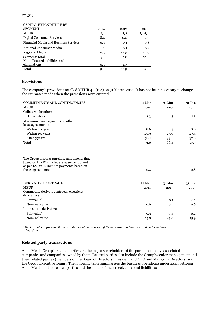| <b>CAPITAL EXPENDITURE BY</b>                   |      |      |       |
|-------------------------------------------------|------|------|-------|
| <b>SEGMENT</b>                                  | 2014 | 2013 | 2013  |
| <b>MEUR</b>                                     | O1   | O1   | Q1-Q4 |
| Digital Consumer Services                       | 8.4  | 0.0  | 2.0   |
| Financial Media and Business Services           | 0.3  | 0.1  | 0.8   |
| National Consumer Media                         | 0.1  | 0.1  | 0.2   |
| Regional Media                                  | 0.3  | 45.5 | 52.0  |
| Segments total<br>Non-allocated liabilities and | 9.1  | 45.6 | 55.0  |
| eliminations                                    | 0.3  | 1.3  | 7.9   |
| Total                                           | 9.4  | 46.9 | 62.8  |

#### **Provisions**

The company's provisions totalled MEUR 4.1 (0.4) on 31 March 2014. It has not been necessary to change the estimates made when the provisions were entered.

| <b>COMMITMENTS AND CONTINGENCIES</b>                                                                                                  | 31 Mar | 31 Mar | 31 Dec |
|---------------------------------------------------------------------------------------------------------------------------------------|--------|--------|--------|
| <b>MEUR</b>                                                                                                                           | 2014   | 2013   | 2013   |
| Collateral for others                                                                                                                 |        |        |        |
| Guarantees                                                                                                                            | 1.3    | 1.3    | 1.3    |
| Minimum lease payments on other                                                                                                       |        |        |        |
| lease agreements:                                                                                                                     |        |        |        |
| Within one year                                                                                                                       | 8.6    | 8.4    | 8.8    |
| Within 1-5 years                                                                                                                      | 26.9   | 25.0   | 27.4   |
| After 5 years                                                                                                                         | 36.1   | 33.0   | 37.6   |
| Total                                                                                                                                 | 71.6   | 66.4   | 73.7   |
|                                                                                                                                       |        |        |        |
| The Group also has purchase agreements that<br>based on IFRIC 4 include a lease component<br>as per IAS 17. Minimum payments based on |        |        |        |
| these agreements:                                                                                                                     | 0.4    | 1.3    | 0.8    |
|                                                                                                                                       |        |        |        |
| <b>DERIVATIVE CONTRACTS</b>                                                                                                           | 31 Mar | 31 Mar | 31 Dec |
| <b>MEUR</b>                                                                                                                           | 2014   | 2013   | 2013   |
| Commodity derivate contracts, electricity<br>derivatives                                                                              |        |        |        |
| Fair value*                                                                                                                           | $-0.1$ | $-0.1$ | $-0.1$ |
| Nominal value                                                                                                                         | 0.6    | 0.7    | 0.6    |
| Interest rate derivatives                                                                                                             |        |        |        |
| Fair value*                                                                                                                           | $-0.3$ | $-0.4$ | $-0.2$ |
| Nominal value                                                                                                                         | 15.8   | 24.0   | 15.9   |

*\*The fair value represents the return that would have arisen if the derivative had been cleared on the balance sheet date.*

#### **Related party transactions**

Alma Media Group's related parties are the major shareholders of the parent company, associated companies and companies owned by them. Related parties also include the Group's senior management and their related parties (members of the Board of Directors, President and CEO and Managing Directors, and the Group Executive Team). The following table summarises the business operations undertaken between Alma Media and its related parties and the status of their receivables and liabilities: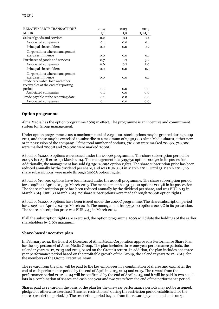| <b>RELATED PARTY TRANSACTIONS</b>   | 2014 | 2013 | 2013    |
|-------------------------------------|------|------|---------|
| <b>MEUR</b>                         | Q1   | Q1   | $Q1-Q4$ |
| Sales of goods and services         | 0.2  | 0.1  | 0.4     |
| Associated companies                | 0.1  | 0.0  | 0.1     |
| Principal shareholders              | 0.0  | 0.0  | 0.2     |
| Corporations where management       |      |      |         |
| exercises influence                 | 0.0  | 0.0  | 0.1     |
| Purchases of goods and services     | 0.7  | 0.7  | $3.2\,$ |
| Associated companies                | 0.6  | 0.7  | 3.0     |
| Principal shareholders              | 0.0  | 0.0  | 0.1     |
| Corporations where management       |      |      |         |
| exercises influence                 | 0.0  | 0.0  | 0.1     |
| Trade receivable, loan and other    |      |      |         |
| receivables at the end of reporting |      |      |         |
| period                              | 0.1  | 0.0  | 0.0     |
| Associated companies                | 0.1  | 0.0  | 0.0     |
| Trade payable at the reporting date | 0.1  | 0.0  | 0.0     |
| Associated companies                | 0.1  | 0.0  | 0.0     |

#### **Option programme**

Alma Media has the option programme 2009 in effect. The programme is an incentive and commitment system for Group management.

Under option programme 2009 a maximum total of 2,130,000 stock options may be granted during 2009– 2011, and these may be exercised to subscribe to a maximum of 2,130,000 Alma Media shares, either new or in possession of the company. Of the total number of options, 710,000 were marked 2009A, 710,000 were marked 2009B and 710,000 were marked 2009C.

A total of 640,000 options were issued under the 2009A programme. The share subscription period for 2009A is 1 April 2012–31 March 2014. The management has 509,750 options 2009A in its possession. Additionally, the management has sold 85,250 2009A option rights. The share subscription price has been reduced annually by the dividend per share, and was EUR 3.61 in March 2014. Until 31 March 2014, no share subscriptions were made through 2009A option rights.

A total of 610,000 options have been issued under the 2009B programme. The share subscription period for 2009B is 1 April 2013–31 March 2015. The management has 505,000 options 2009B in its possession. The share subscription price has been reduced annually by the dividend per share, and was EUR 6.13 in March 2014. Until 31 March 2014, no share subscriptions were made through 2009B option rights.

A total of 640,000 options have been issued under the 2009C programme. The share subscription period for 2009C is 1 April 2014–31 March 2016. The management has 535,000 options 2009C in its possession. The share subscription price was EUR 7.45 in March 2014.

If all the subscription rights are exercised, the option programme 2009 will dilute the holdings of the earlier shareholders by 2.0% maximum.

#### **Share-based incentive plan**

In February 2012, the Board of Directors of Alma Media Corporation approved a Performance Share Plan for the key personnel of Alma Media Group. The plan includes three one-year performance periods, the calendar years 2012, 2013 and 2014, based on the Group's return. In addition, the plan includes one threeyear performance period based on the profitable growth of the Group, the calendar years 2012–2014, for the members of the Group Executive Team.

The reward from the plan will be paid to the key employees in a combination of shares and cash after the end of each performance period by the end of April in 2013, 2014 and 2015. The reward from the performance period 2012–2014 will be confirmed by the end of April 2015, and it will be paid in two equal lots in a combination of shares and cash one year and two years from the end of the performance period.

Shares paid as reward on the basis of the plan for the one-year performance periods may not be assigned, pledged or otherwise exercised (transfer restriction/s) during the restriction period established for the shares (restriction period/s). The restriction period begins from the reward payment and ends on 31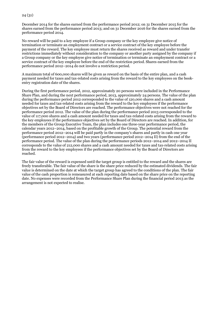December 2014 for the shares earned from the performance period 2012; on 31 December 2015 for the shares earned from the performance period 2013; and on 31 December 2016 for the shares earned from the performance period 2014.

No reward will be paid to a key employee if a Group company or the key employee give notice of termination or terminate an employment contract or a service contract of the key employee before the payment of the reward. The key employee must return the shares received as reward and under transfer restrictions immediately without consideration to the company or another party assigned by the company if a Group company or the key employee give notice of termination or terminate an employment contract or a service contract of the key employee before the end of the restriction period. Shares earned from the performance period 2012–2014 do not involve a restriction period.

A maximum total of 600,000 shares will be given as reward on the basis of the entire plan, and a cash payment needed for taxes and tax-related costs arising from the reward to the key employees on the bookentry registration date of the shares.

During the first performance period, 2012, approximately 20 persons were included in the Performance Share Plan, and during the next performance period, 2013, approximately 24 persons. The value of the plan during the performance period 2012 corresponded to the value of 120,000 shares and a cash amount needed for taxes and tax-related costs arising from the reward to the key employees if the performance objectives set by the Board of Directors are reached. The performance objectives were not reached for the performance period 2012. The value of the plan during the performance period 2013 corresponded to the value of 117,000 shares and a cash amount needed for taxes and tax-related costs arising from the reward to the key employees if the performance objectives set by the Board of Directors are reached. In addition, for the members of the Group Executive Team, the plan includes one three-year performance period, the calendar years 2012–2014, based on the profitable growth of the Group. The potential reward from the performance period 2012–2014 will be paid partly in the company's shares and partly in cash one year (performance period 2012–2014) and two years (performance period 2012–2014 II) from the end of the performance period. The value of the plan during the performance periods 2012–2014 and 2012–2014 II corresponds to the value of 212,000 shares and a cash amount needed for taxes and tax-related costs arising from the reward to the key employees if the performance objectives set by the Board of Directors are reached.

The fair value of the reward is expensed until the target group is entitled to the reward and the shares are freely transferable. The fair value of the share is the share price reduced by the estimated dividends. The fair value is determined on the date at which the target group has agreed to the conditions of the plan. The fair value of the cash proportion is remeasured at each reporting date based on the share price on the reporting date. No expenses were recorded from the Performance Share Plan during the financial period 2013 as the arrangement is not expected to realise.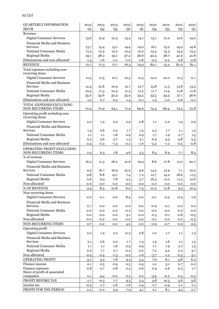| QUARTERLY INFORMATION<br><b>MEUR</b>     | 2014           | 2013   | 2013<br>Q <sub>3</sub> | 2013           | 2013           | 2012           | 2012           | 2012           | 2012           |
|------------------------------------------|----------------|--------|------------------------|----------------|----------------|----------------|----------------|----------------|----------------|
| Revenue                                  | Q <sub>1</sub> | Q4     |                        | Q <sub>2</sub> | Q <sub>1</sub> | Q <sub>4</sub> | Q <sub>3</sub> | Q <sub>2</sub> | Q <sub>1</sub> |
| <b>Digital Consumer Services</b>         |                |        |                        |                |                |                | 12.2           | 12.6           |                |
|                                          | 13.6           | 12.9   | 12.3                   | 13.4           | 14.1           | 13.1           |                |                | 14.0           |
| Financial Media and Business<br>Services | 13.7           | 15.4   | 13.1                   | 14.4           | 14.0           | 16.1           | 13.2           | 14.9           | 14.8           |
| National Consumer Media                  | 11.5           | 12.4   | 12.2                   | 12.4           | 12.0           | 13.4           | 13.3           | 14.5           | 13.3           |
| Regional Media                           | 35.1           | 38.2   | 35.1                   | 37.2           | 36.6           | 42.4           | 38.7           | 41.9           | 41.8           |
| Eliminations and non-allocated           | $-1.3$         | $-1.6$ | $-1.0$                 | $-1.0$         | $-1.8$         | $-2.2$         | $-2.2$         | $-2.8$         | $-2.8$         |
| <b>REVENUE</b>                           | 72.7           | 77.3   | 71.7                   | 76.3           | 74.9           | 82.7           | 75.2           | 81.0           | 81.1           |
| Total expenses excluding non-            |                |        |                        |                |                |                |                |                |                |
| recurring items                          |                |        |                        |                |                |                |                |                |                |
| <b>Digital Consumer Services</b>         | 11.5           | 11.5   | 10.1                   | 10.5           | 11.3           | 12.0           | 10.0           | 11.3           | 11.1           |
| Financial Media and Business             |                |        |                        |                |                |                |                |                |                |
| Services                                 | 12.4           | 12.8   | 10.9                   | 12.7           | 12.7           | 13.8           | 11.5           | 13.8           | 13.3           |
| National Consumer Media                  | 10.4           | 11.3   | 10.4                   | 11.4           | 11.2           | 11.7           | 11.4           | 11.8           | 11.8           |
| Regional Media                           | 35.0           | 34.6   | 32.4                   | 35.9           | 34.5           | 35.5           | 34.5           | 37.1           | 36.6           |
| Eliminations and non-allocated           | 1.2            | 0.7    | 0.3                    | 1.4            | $-0.1$         | 1.3            | $-1.0$         | $-0.6$         | $-0.1$         |
| TOTAL EXPENSES EXCLUDING                 |                |        |                        |                |                |                |                |                |                |
| NON-RECURRING ITEMS                      | 70.4           | 70.9   | 64.1                   | 71.9           | 69.6           | 74.4           | 66.4           | 73.4           | 72.8           |
| Operating profit excluding non-          |                |        |                        |                |                |                |                |                |                |
| recurring items                          |                |        |                        |                |                |                |                |                |                |
| <b>Digital Consumer Services</b>         | 2.2            | 1.5    | 2.2                    | 2.9            | 2.8            | 1.1            | 2.2            | 1.4            | 2.9            |
| Financial Media and Business             |                |        |                        |                |                |                |                |                |                |
| Services                                 | 1.4            | 2.6    | 2.2                    | 1.7            | 1.3            | 2.3            | 1.7            | 1.1            | 1.5            |
| National Consumer Media                  | 1.1            | 1.1    | 1.8                    | 0.9            | 0.9            | 1.7            | 1.9            | 2.7            | 1.5            |
| Regional Media                           | 0.2            | 3.6    | 2.7                    | 1.3            | 2.1            | 6.9            | 4.3            | 4.8            | 5.3            |
| Eliminations and non-allocated           | $-2.4$         | $-2.3$ | $-1.3$                 | $-2.2$         | $-1.6$         | $-3.5$         | $-1.2$         | $-2.3$         | $-2.8$         |
| OPERATING PROFIT EXCLUDING               |                |        |                        |                |                |                |                |                |                |
| NON-RECURRING ITEMS                      | 2.5            | 6.5    | 7.8                    | 4.6            | 5.5            | 8.5            | 8.9            | 7.7            | 8.5            |
| % of revenue                             |                |        |                        |                |                |                |                |                |                |
| <b>Digital Consumer Services</b>         | 16.2           | 11.3   | 18.2                   | 21.6           | 19.9           | 8.6            | 17.8           | 11.0           | 20.7           |
| Financial Media and Business             |                |        |                        |                |                |                |                |                |                |
| Services                                 | 9.9            | 16.7   | 16.9                   | 12.0           | 9.6            | 14.2           | 12.9           | 7.1            | 10.2           |
| National Consumer Media                  | 9.8            | 8.8    | 15.1                   | 7.4            | 7.2            | 12.7           | 14.2           | 18.6           | 11.5           |
| Regional Media                           | 0.6            | 9.5    | 7.8                    | 3.5            | 5.7            | 16.3           | 11.0           | 11.5           | 12.6           |
| Non-allocated                            | 0.0            | 0.0    | 0.0                    | 0.0            | 0.0            | 0.0            | 0.0            | 0.0            | 0.0            |
| % OF REVENUE                             | 3.4            | 8.4    | 10.8                   | 6.0            | 7.3            | 10.3           | 11.8           | 9.5            | 10.4           |
| Non-recurring items                      |                |        |                        |                |                |                |                |                |                |
| Digital Consumer Services                | 0.0            | $-0.1$ | 0.0                    | 8.4            | 0.0            | $-0.1$         | $-0.5$         | $-0.3$         | $-1.6$         |
| <b>Financial Media and Business</b>      |                |        |                        |                |                |                |                |                |                |
| Services                                 | 0.7            | 0.0    | 0.0                    | 0.0            | 0.0            | $-0.9$         | $-0.1$         | 0.0            | 0.0            |
| National Consumer Media                  | 0.0            | 0.0    | 0.0                    | $-0.3$         | 0.0            | 0.0            | 0.0            | 0.0            | 0.0            |
| Regional Media                           | 0.0            | $-2.0$ | 0.0                    | $-3.1$         | $-0.0$         | 0.3            | $-0.1$         | $-2.6$         | $-0.5$         |
| Non-allocated                            | 0.0            | $-0.2$ | 0.0                    | 0.0            | 0.0            | $-0.1$         | 0.0            | 0.0            | $-0.3$         |
| NON-RECURRING ITEMS                      | 0.7            | $-2.2$ | 0.0                    | 4.9            | 0.0            | $-0.9$         | $-0.7$         | $-2.9$         | $-2.5$         |
| Operating profit                         |                |        |                        |                |                |                |                |                |                |
| <b>Digital Consumer Services</b>         | 2.2            | 1.4    | $2.2\,$                | 11.3           | 2.8            | 1.0            | 1.7            | 1.1            | 1.3            |
| <b>Financial Media and Business</b>      |                |        |                        |                |                |                |                |                |                |
| <b>Services</b>                          | 2.1            | 2.6    | $2.2\,$                | 1.7            | 1.3            | 1.4            | 1.6            | 1.1            | 1.5            |
| National Consumer Media                  | 1.1            | 1.1    | 1.8                    | 0.9            | 0.9            | 1.7            | 1.9            | 2.7            | 1.5            |
| Regional Media                           | 0.2            | 1.7    | 2.7                    | $-2.2$         | 2.0            | 7.2            | 4.2            | $2.2\,$        | 4.7            |
| Non-allocated                            | $-2.4$         | $-2.4$ | $-1.3$                 | $-2.2$         | $-1.6$         | $-3.7$         | $-1.2$         | $-2.3$         | $-3.1$         |
| OPERATING PROFIT                         | 3.2            | 4.3    | 7.8                    | 9.5            | 5.4            | 7.6            | 8.1            | 4.8            | 6.0            |
| Finance income                           | 0.1            | 0.5    | 0.9                    | 0.5            | 0.4            | 1.0            | 3.1            | 0.7            | 0.0            |
| Finance expenses                         | 0.8            | 0.7    | 0.8                    | 0.5            | 0.6            | 0.9            | 0.6            | 0.3            | 1.7            |
| Share of profit of associated            |                |        |                        |                |                |                |                |                |                |
| companies                                | 0.1            | $-4.4$ | $-0.2$                 | 0.2            | 0.2            | $-3.9$         | $-0.2$         | 0.3            | $-0.5$         |
| PROFIT BEFORE TAX                        | 2.7            | $-0.3$ | 7.7                    | 9.5            | 5.4            | 3.8            | 10.5           | 5.6            | 3.8            |
| Income tax                               | $-0.5$         | $-1.7$ | $-1.8$                 | $-1.6$         | $-1.4$         | $-1.7$         | $-2.4$         | $-1.1$         | $-1.1$         |
| PROFIT FOR THE PERIOD                    | 2.2            | $-2.0$ | 5.9                    | 7.9            | 4.1            | 2.1            | 8.1            | 4.5            | 2.7            |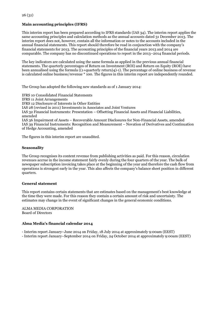# **Main accounting principles (IFRS)**

This interim report has been prepared according to IFRS standards (IAS 34). The interim report applies the same accounting principles and calculation methods as the annual accounts dated 31 December 2013. The interim report does not, however, contain all the information or notes to the accounts included in the annual financial statements. This report should therefore be read in conjunction with the company's financial statements for 2013. The accounting principles of the financial years 2013 and 2014 are comparable. The company has no discontinued operations to report in the 2013–2014 financial periods.

The key indicators are calculated using the same formula as applied in the previous annual financial statements. The quarterly percentages of Return on Investment (ROI) and Return on Equity (ROE) have been annualised using the formula ((1+quarterly return)4)-1). The percentage of online business of revenue is calculated online business/revenue \* 100. The figures in this interim report are independently rounded.

The Group has adopted the following new standards as of 1 January 2014:

IFRS 10 Consolidated Financial Statements IFRS 11 Joint Arrangements IFRS 12 Disclosure of Interests in Other Entities IAS 28 (revised in 2011) Investments in Associates and Joint Ventures IAS 32 Financial Instruments: Presentation – Offsetting Financial Assets and Financial Liabilities, amended IAS 36 Impairment of Assets – Recoverable Amount Disclosures for Non-Financial Assets, amended IAS 39 Financial Instruments: Recognition and Measurement – Novation of Derivatives and Continuation of Hedge Accounting, amended

The figures in this interim report are unaudited.

#### **Seasonality**

The Group recognises its content revenue from publishing activities as paid. For this reason, circulation revenues accrue in the income statement fairly evenly during the four quarters of the year. The bulk of newspaper subscription invoicing takes place at the beginning of the year and therefore the cash flow from operations is strongest early in the year. This also affects the company's balance sheet position in different quarters.

#### **General statement**

This report contains certain statements that are estimates based on the management's best knowledge at the time they were made. For this reason they contain a certain amount of risk and uncertainty. The estimates may change in the event of significant changes in the general economic conditions.

ALMA MEDIA CORPORATION Board of Directors

#### **Alma Media's financial calendar 2014**

- Interim report January–June 2014 on Friday, 18 July 2014 at approximately 9:00am (EEST)

- Interim report January–September 2014 on Friday, 24 October 2014 at approximately 9:00am (EEST)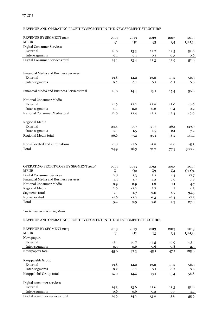# REVENUE AND OPERATING PROFIT BY SEGMENT IN THE NEW SEGMENT STRUCTURE

| <b>REVENUE BY SEGMENT 2013</b>              | 2013   | 2013           | 2013           | 2013   | 2013    |
|---------------------------------------------|--------|----------------|----------------|--------|---------|
| <b>MEUR</b>                                 | Q1     | Q <sub>2</sub> | Q <sub>3</sub> | Q4     | $Q1-Q4$ |
| Digital Consumer Services                   |        |                |                |        |         |
| External                                    | 14.0   | 13.3           | 12.2           | 12.5   | 52.0    |
| Inter-segments                              | 0.1    | 0.1            | 0.1            | 0.3    | 0.6     |
| Digital Consumer Services total             | 14.1   | 13.4           | 12.3           | 12.9   | 52.6    |
|                                             |        |                |                |        |         |
| Financial Media and Business Services       |        |                |                |        |         |
| External                                    | 13.8   | 14.2           | 13.0           | 15.2   | 56.3    |
| Inter-segments                              | 0.2    | 0.1            | 0.1            | 0.2    | 0.6     |
|                                             |        |                |                |        |         |
| Financial Media and Business Services total | 14.0   | 14.4           | 13.1           | 15.4   | 56.8    |
| National Consumer Media                     |        |                |                |        |         |
| External                                    | 11.9   | 12.2           | 12.0           | 12.0   | 48.0    |
| Inter-segments                              | 0.1    | 0.2            | 0.2            | 0.4    | 0.9     |
| National Consumer Media total               | 12.0   | 12.4           | 12.2           | 12.4   | 49.0    |
|                                             |        |                |                |        |         |
| Regional Media<br>External                  |        |                |                |        |         |
|                                             | 34.4   | 35.7           | 33.7           | 36.1   | 139.9   |
| Inter-segments                              | 2.1    | 1.5            | 1.5            | 2.1    | 7.2     |
| Regional Media total                        | 36.6   | 37.2           | 35.1           | 38.2   | 147.1   |
| Non-allocated and eliminations              | $-1.8$ | $-1.0$         | $-1.0$         | $-1.6$ | $-5.3$  |
| Total                                       | 74.9   | 76.3           | 71.7           | 77.3   | 300.2   |
|                                             |        |                |                |        |         |

| OPERATING PROFIT/LOSS BY SEGMENT 2013*       | 2013   | 2013   | 2013   | 2013   | 2013    |
|----------------------------------------------|--------|--------|--------|--------|---------|
| <b>MEUR</b>                                  | О1     | 02     | Q3     | Q4     | $Q1-Q4$ |
| Digital Consumer Services                    | 2.8    | 11.3   | 2.2    | 1.4    | 17.7    |
| <b>Financial Media and Business Services</b> | 1.3    | 1.7    | 2.2    | 2.6    | 7.8     |
| National Consumer Media                      | 0.9    | 0.9    | 1.8    | 1.1    | 4.7     |
| Regional Media                               | 2.0    | $-2.2$ | 2.7    | 1.7    | 4.3     |
| Segments total                               | 7.1    | 11.7   | 9.0    | 6.7    | 34.5    |
| Non-allocated                                | $-1.6$ | $-2.2$ | $-1.3$ | $-2.4$ | $-7.5$  |
| Total                                        | 5.4    | 9.5    | 7.8    | 4.3    | 27.0    |

\* *Including non-recurring items.*

# REVENUE AND OPERATING PROFIT BY SEGMENT IN THE OLD SEGMENT STRUCTURE

| REVENUE BY SEGMENT 2013         | 2013           | 2013 | 2013 | 2013           | 2013    |
|---------------------------------|----------------|------|------|----------------|---------|
| <b>MEUR</b>                     | Q <sub>1</sub> | Q2   | Q3   | Q <sub>4</sub> | $Q1-Q4$ |
| <b>Newspapers</b>               |                |      |      |                |         |
| External                        | 45.1           | 46.7 | 44.5 | 46.9           | 183.1   |
| Inter-segments                  | 0.5            | 0.6  | 0.6  | 0.8            | 2.5     |
| Newspapers total                | 45.6           | 47.3 | 45.1 | 47.7           | 185.6   |
| Kauppalehti Group               |                |      |      |                |         |
| External                        | 13.8           | 14.2 | 13.0 | 15.2           | 56.3    |
| Inter-segments                  | 0.2            | 0.1  | 0.1  | 0.2            | 0.6     |
| Kauppalehti Group total         | 14.0           | 14.4 | 13.1 | 15.4           | 56.8    |
| Digital consumer services       |                |      |      |                |         |
| External                        | 14.3           | 13.6 | 12.6 | 13.3           | 53.8    |
| Inter-segments                  | 0.6            | 0.6  | 0.3  | 0.5            | 2.1     |
| Digital consumer services total | 14.9           | 14.2 | 13.0 | 13.8           | 55.9    |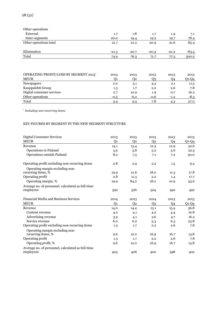| Other operations       |         |         |         |         |         |
|------------------------|---------|---------|---------|---------|---------|
| External               | 1.7     | 1.8     | 1.7     | 1.9     | 7.1     |
| Inter-segments         | 20.0    | 19.4    | 19.2    | 19.7    | 78.4    |
| Other operations total | 21.7    | 21.2    | 20.9    | 21.6    | 85.4    |
| Elimination            | $-21.3$ | $-20.7$ | $-20.3$ | $-21.2$ | $-83.5$ |
| Total                  | 74.9    | 76.3    | 71.7    | 77.3    | 300.2   |

| OPERATING PROFIT/LOSS BY SEGMENT 2013*<br><b>MEUR</b> | 2013<br>Ο1 | 2013<br>02 | 2013<br>23 | 2013<br>Q4 | 2013<br>Q1-Q4 |
|-------------------------------------------------------|------------|------------|------------|------------|---------------|
| Newspapers                                            | 2.0        | 3.1        | 4.3        | 2.1        | 11.5          |
| Kauppalehti Group                                     | 1.3        | 1.7        | 2.2        | 2.6        | 7.8           |
| Digital consumer services                             | 2.7        | 10.9       | 1.9        | 0.7        | 16.2          |
| Other operations                                      | $-0.5$     | $-6.2$     | $-0.6$     | $-1.2$     | $-8.5$        |
| Total                                                 | 5.4        | 9.5        | 7.8        |            | 27.0          |

\*  *Including non-recurring items.*

### KEY FIGURES BY SEGMENT IN THE NEW SEGMENT STRUCTURE

| <b>Digital Consumer Services</b>                  | 2013 | 2013           | 2013           | 2013 | 2013    |
|---------------------------------------------------|------|----------------|----------------|------|---------|
| <b>MEUR</b>                                       | Q1   | Q <sub>2</sub> | Q <sub>3</sub> | Q4   | $Q1-Q4$ |
| Revenue                                           | 14.1 | 13.4           | 12.3           | 12.9 | 52.6    |
| Operations in Finland                             | 5.9  | 5.8            | 5.2            | 5.6  | 22.5    |
| Operations outside Finland                        | 8.2  | 7.5            | 7.1            | 7.2  | 30.0    |
| Operating profit excluding non-recurring items    | 2.8  | 2.9            | 2.2            | 1.5  | 9.4     |
| Operating margin excluding non-                   |      |                |                |      |         |
| recurring items, %                                | 19.9 | 21.6           | 18.2           | 11.3 | 17.8    |
| Operating profit                                  | 2.8  | 11.3           | 2.2            | 1.4  | 17.7    |
| Operating margin, %                               | 19.9 | 84.2           | 18.2           | 10.9 | 33.6    |
| Average no. of personnel. calculated as full-time |      |                |                |      |         |
| employees                                         | 592  | 526            | 504            | 492  | 492     |
| Financial Media and Business Services             | 2014 | 2013           | 2014           | 2013 | 2013    |
| <b>MEUR</b>                                       | Q1   | Q <sub>2</sub> | Q <sub>3</sub> | Q4   | $Q1-Q4$ |
| Revenue                                           | 14.0 | 14.4           | 13.1           | 15.4 | 56.8    |
| Content revenue                                   | 4.2  | 4.1            | 4.2            | 4.4  | 16.8    |
| Advertising revenue                               | 3.9  | 4.1            | 3.6            | 4.7  | 16.2    |
| Service revenue                                   | 6.0  | 6.2            | 5.3            | 6.3  | 23.8    |
| Operating profit excluding non-recurring items    | 1.3  | 1.7            | 2.2            | 2.6  | 7.8     |
| Operating margin excluding non-                   |      |                |                |      |         |
| recurring items, %                                | 9.6  | 12.0           | 16.9           | 16.7 | 13.8    |
| Operating profit                                  | 1.3  | 1.7            | 2.2            | 2.6  | 7.8     |
| Operating profit, %                               | 9.6  | 12.0           | 16.9           | 16.7 | 13.8    |
| Average no. of personnel, calculated as full-time |      |                |                |      |         |
| employees                                         | 403  | 406            | 400            | 398  | 402     |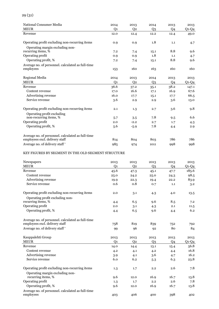| National Consumer Media                               | 2014           | 2013           | 2014           | 2013           | 2013    |
|-------------------------------------------------------|----------------|----------------|----------------|----------------|---------|
| <b>MEUR</b>                                           | Q <sub>1</sub> | Q <sub>2</sub> | Q <sub>3</sub> | Q <sub>4</sub> | $Q1-Q4$ |
| Revenue                                               | 12.0           | 12.4           | 12.2           | 12.4           | 49.0    |
| Operating profit excluding non-recurring items        | 0.9            | 0.9            | 1.8            | 1.1            | 4.7     |
| Operating margin excluding non-<br>recurring items, % | 7.2            | 7.4            | 15.1           | 8.8            | 9.6     |
| Operating profit                                      | 0.9            | 0.9            | 1.8            | 1.1            | 4.7     |
| Operating profit, %                                   | 7.2            | 7.4            | 15.1           | 8.8            | 9.6     |
| Average no. of personnel. calculated as full-time     |                |                |                |                |         |
| employees                                             | 153            | 160            | 163            | 160            | 160     |
| Regional Media                                        | 2014           | 2013           | 2014           | 2013           | 2013    |
| <b>MEUR</b>                                           | Q <sub>1</sub> | Q <sub>2</sub> | Q3             | Q4             | $Q1-Q4$ |
| Revenue                                               | 36.6           | 37.2           | 35.1           | 38.2           | 147.1   |
| Content revenue                                       | 17.0           | 16.6           | 17.1           | 16.9           | 67.6    |
| Advertising revenue                                   | 16.0           | 17.7           | 15.1           | 17.7           | 66.5    |
| Service revenue                                       | 3.6            | 2.9            | 2.9            | 3.6            | 13.0    |
| Operating profit excluding non-recurring items        | 2.1            | 1.3            | 2.7            | 3.6            | 9.8     |
| Operating profit excluding                            |                |                |                |                |         |
| non-recurring items, %                                | 5.7            | 3.5            | 7.8            | 9.5            | 6.6     |
| Operating profit                                      | 2.0            | $-2.2$         | 2.7            | 1.7            | 4.3     |
| Operating profit, %                                   | 5.6            | $-5.9$         | 7.8            | 4.4            | 2.9     |
| Average no. of personnel. calculated as full-time     |                |                |                |                |         |
| employees excl. delivery staff                        | 814            | 804            | 803            | 786            | 786     |
| Average no. of delivery staff <sup>*</sup>            | 985            | 974            | 1011           | 998            | 998     |

### KEY FIGURES BY SEGMENT IN THE OLD SEGMENT STRUCTURE

| Newspapers                                        | 2013           | 2013           | 2013           | 2013           | 2013         |
|---------------------------------------------------|----------------|----------------|----------------|----------------|--------------|
| <b>MEUR</b>                                       | Q <sub>1</sub> | Q <sub>2</sub> | Q <sub>3</sub> | Q <sub>4</sub> | $Q$ 1- $Q$ 4 |
| Revenue                                           | 45.6           | 47.3           | 45.1           | 47.7           | 185.6        |
| Content revenue                                   | 25.0           | 24.2           | 25.0           | 24.3           | 98.5         |
| Advertising revenue                               | 19.9           | 22.3           | 19.4           | 22.2           | 83.9         |
| Service revenue                                   | 0.6            | 0.8            | 0.7            | 1.1            | 3.2          |
| Operating profit excluding non-recurring items    | 2.0            | 3.1            | 4.3            | 4.0            | 13.5         |
| Operating profit excluding non-                   |                |                |                |                |              |
| recurring items, %                                | 4.4            | 6.5            | 9.6            | 8.5            | 7.2          |
| Operating profit                                  | 2.0            | 3.1            | 4.3            | 2.1            | 11.5         |
| Operating profit, %                               | 4.4            | 6.5            | 9.6            | 4.4            | 6.2          |
| Average no. of personnel. calculated as full-time |                |                |                |                |              |
| employees excl. delivery staff                    | 758            | 819            | 839            | 752            | 792          |
| Average no. of delivery staff <sup>*</sup>        | 99             | 96             | 92             | 80             | 84           |
| Kauppalehti Group                                 | 2013           | 2013           | 2013           | 2013           | 2013         |
| <b>MEUR</b>                                       | Q <sub>1</sub> | Q <sub>2</sub> | O <sub>3</sub> | <b>O4</b>      | $Q1-Q4$      |
| Revenue                                           | 14.0           | 14.4           | 13.1           | 15.4           | 56.8         |
| Content revenue                                   | 4.2            | 4.1            | 4.2            | 4.4            | 16.8         |
| Advertising revenue                               | 3.9            | 4.1            | 3.6            | 4.7            | 16.2         |
| Service revenue                                   | 6.0            | 6.2            | 5.3            | 6.3            | 23.8         |
| Operating profit excluding non-recurring items    | 1.3            | 1.7            | 2.2            | 2.6            | 7.8          |
| Operating margin excluding non-                   |                |                |                |                |              |
| recurring items, %                                | 9.6            | 12.0           | 16.9           | 16.7           | 13.8         |
| Operating profit                                  | 1.3            | 1.7            | 2.2            | 2.6            | 7.8          |
| Operating profit, %                               | 9.6            | 12.0           | 16.9           | 16.7           | 13.8         |
| Average no. of personnel. calculated as full-time |                |                |                |                |              |
| employees                                         | 403            | 406            | 400            | 398            | 402          |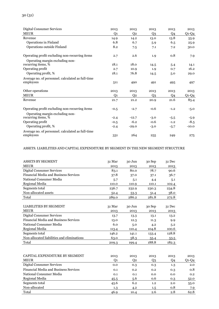| <b>Digital Consumer Services</b>                  | 2013   | 2013           | 2013           | 2013           | 2013    |
|---------------------------------------------------|--------|----------------|----------------|----------------|---------|
| <b>MEUR</b>                                       | Q1     | Q <sub>2</sub> | Q <sub>3</sub> | Q <sub>4</sub> | $Q1-Q4$ |
| Revenue                                           | 14.9   | 14.2           | 13.0           | 13.8           | 55.9    |
| Operations in Finland                             | 6.8    | 6.7            | 5.9            | 6.5            | 25.9    |
| Operations outside Finland                        | 8.2    | 7.5            | 7.1            | 7.2            | 30.0    |
| Operating profit excluding non-recurring items    | 2.7    | 2.6            | 1.9            | 0.8            | 7.9     |
| Operating margin excluding non-                   |        |                |                |                |         |
| recurring items, %                                | 18.1   | 18.0           | 14.5           | 5.4            | 14.1    |
| Operating profit                                  | 2.7    | 10.9           | 1.9            | 0.7            | 16.2    |
| Operating profit, %                               | 18.1   | 76.8           | 14.5           | 5.0            | 29.0    |
| Average no. of personnel. calculated as full-time |        |                |                |                |         |
| employees                                         | 511    | 490            | 491            | 495            | 497     |
| Other operations                                  | 2013   | 2013           | 2013           | 2013           | 2013    |
| <b>MEUR</b>                                       | Q1     | Q2             | Q <sub>3</sub> | Q4             | $Q1-Q4$ |
| Revenue                                           | 21.7   | 21.2           | 20.9           | 21.6           | 85.4    |
| Operating profit excluding non-recurring items    | $-0.5$ | $-2.7$         | $-0.6$         | $-1.2$         | $-5.0$  |
| Operating margin excluding non-                   |        |                |                |                |         |
| recurring items, %                                | $-2.4$ | $-12.7$        | $-3.0$         | $-5.5$         | $-5.9$  |
| Operating profit                                  | $-0.5$ | $-6.2$         | $-0.6$         | $-1.2$         | $-8.5$  |
| Operating profit, %                               | $-2.4$ | $-29.0$        | $-3.0$         | $-5.7$         | $-10.0$ |
| Average no. of personnel, calculated as full-time |        |                |                |                |         |
| employees                                         | 331    | 264            | 255            | 249            | 275     |

#### ASSETS. LIABILITIES AND CAPITAL EXPENDITURE BY SEGMENT IN THE NEW SEGMENT STRUCTURE

| <b>ASSETS BY SEGMENT</b>                     | 31 Mar | 30 Jun | 30 Sep | 31 Dec |
|----------------------------------------------|--------|--------|--------|--------|
| <b>MEUR</b>                                  | 2013   | 2013   | 2013   | 2013   |
| Digital Consumer Services                    | 83.1   | 80.0   | 78.7   | 90.6   |
| <b>Financial Media and Business Services</b> | 37.8   | 37.0   | 37.1   | 36.7   |
| National Consumer Media                      | 5.7    | 5.1    | 4.4    | 5.1    |
| Regional Media                               | 110.0  | 110.9  | 110.1  | 102.4  |
| Segments total                               | 236.7  | 232.9  | 230.3  | 234.8  |
| Non-allocated assets                         | 52.4   | 53.3   | 51.4   | 38.0   |
| Total                                        | 289.0  | 286.2  | 281.8  | 272.8  |
|                                              |        |        |        |        |
| <b>LIABILITIES BY SEGMENT</b>                | 31 Mar | 30 Jun | 30 Sep | 31 Dec |
| <b>MEUR</b>                                  | 2013   | 2013   | 2013   | 2013   |
| Digital Consumer Services                    | 13.7   | 13.3   | 13.1   | 13.2   |
| <b>Financial Media and Business Services</b> | 13.0   | 12.3   | 11.3   | 9.9    |
| National Consumer Media                      | 6.0    | 5.0    | 4.2    | 5.2    |
| Regional Media                               | 113.4  | 110.4  | 104.8  | 100.6  |
| Segments total                               | 146.2  | 141.1  | 133.4  | 128.8  |
| Non-allocated liabilities and eliminations   | 63.0   | 58.3   | 55.4   | 53.5   |
| Total                                        | 209.3  | 199.4  | 188.8  | 182.3  |

| CAPITAL EXPENDITURE BY SEGMENT               | 2013    | 2013 | 2013    | 2013 | 2013  |
|----------------------------------------------|---------|------|---------|------|-------|
| <b>MEUR</b>                                  | O1      | 02   | Q3      | Q4   | Q1-Q4 |
| Digital Consumer Services                    | 0.0     | 0.3  | 0.3     | 1.3  | 2.0   |
| <b>Financial Media and Business Services</b> | 0.1     | 0.2  | 0.2     | 0.3  | 0.8   |
| National Consumer Media                      | 0.1     | 0.1  | 0.0     | 0.0  | 0.2   |
| Regional Media                               | 45.5    | 5.6  | 0.6     | 0.3  | 52.0  |
| Segments total                               | 45.6    | 6.2  | 1.2     | 2.0  | 55.0  |
| Non-allocated                                | $1.3\,$ | 4.2  | $1.5\,$ | 0.8  | 7.9   |
| Total                                        | 46.9    | 10.4 | 2.6     | 2.8  | 62.8  |